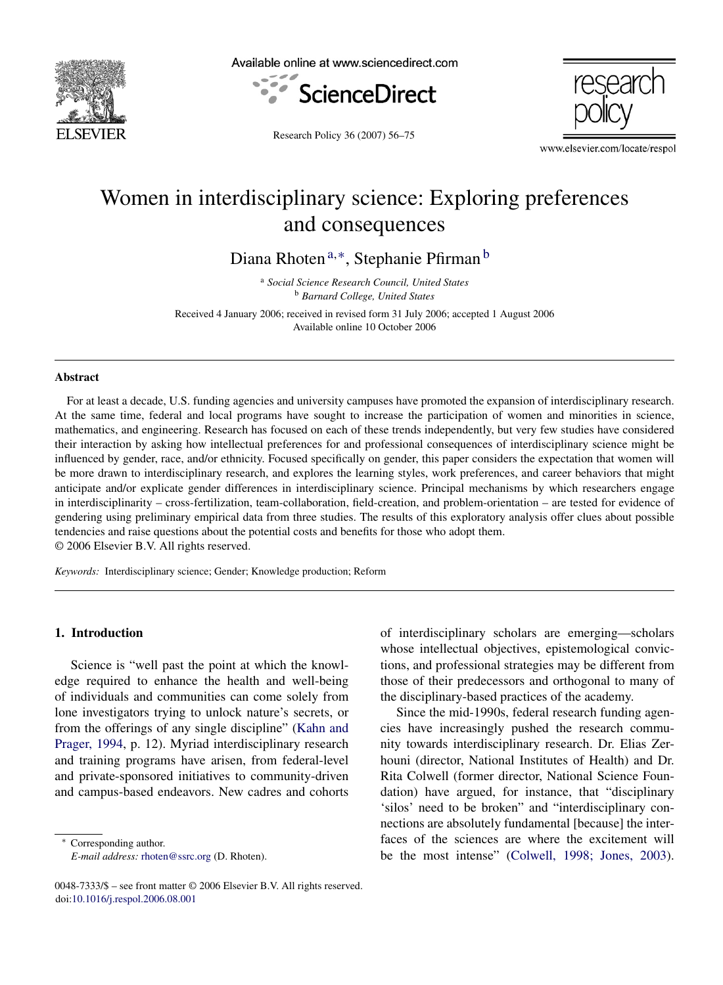

Available online at www.sciencedirect.com





Research Policy 36 (2007) 56–75

www.elsevier.com/locate/respol

# Women in interdisciplinary science: Exploring preferences and consequences

Diana Rhoten<sup>a,∗</sup>, Stephanie Pfirman<sup>b</sup>

<sup>a</sup> *Social Science Research Council, United States* <sup>b</sup> *Barnard College, United States*

Received 4 January 2006; received in revised form 31 July 2006; accepted 1 August 2006 Available online 10 October 2006

#### **Abstract**

For at least a decade, U.S. funding agencies and university campuses have promoted the expansion of interdisciplinary research. At the same time, federal and local programs have sought to increase the participation of women and minorities in science, mathematics, and engineering. Research has focused on each of these trends independently, but very few studies have considered their interaction by asking how intellectual preferences for and professional consequences of interdisciplinary science might be influenced by gender, race, and/or ethnicity. Focused specifically on gender, this paper considers the expectation that women will be more drawn to interdisciplinary research, and explores the learning styles, work preferences, and career behaviors that might anticipate and/or explicate gender differences in interdisciplinary science. Principal mechanisms by which researchers engage in interdisciplinarity – cross-fertilization, team-collaboration, field-creation, and problem-orientation – are tested for evidence of gendering using preliminary empirical data from three studies. The results of this exploratory analysis offer clues about possible tendencies and raise questions about the potential costs and benefits for those who adopt them. © 2006 Elsevier B.V. All rights reserved.

*Keywords:* Interdisciplinary science; Gender; Knowledge production; Reform

## **1. Introduction**

Science is "well past the point at which the knowledge required to enhance the health and well-being of individuals and communities can come solely from lone investigators trying to unlock nature's secrets, or from the offerings of any single discipline" [\(Kahn and](#page-17-0) [Prager, 1994,](#page-17-0) p. 12). Myriad interdisciplinary research and training programs have arisen, from federal-level and private-sponsored initiatives to community-driven and campus-based endeavors. New cadres and cohorts

Corresponding author. *E-mail address:* [rhoten@ssrc.org](mailto:rhoten@ssrc.org) (D. Rhoten). of interdisciplinary scholars are emerging—scholars whose intellectual objectives, epistemological convictions, and professional strategies may be different from those of their predecessors and orthogonal to many of the disciplinary-based practices of the academy.

Since the mid-1990s, federal research funding agencies have increasingly pushed the research community towards interdisciplinary research. Dr. Elias Zerhouni (director, National Institutes of Health) and Dr. Rita Colwell (former director, National Science Foundation) have argued, for instance, that "disciplinary 'silos' need to be broken" and "interdisciplinary connections are absolutely fundamental [because] the interfaces of the sciences are where the excitement will be the most intense" ([Colwell, 1998; Jones, 2003\).](#page-16-0)

<sup>0048-7333/\$ –</sup> see front matter © 2006 Elsevier B.V. All rights reserved. doi[:10.1016/j.respol.2006.08.001](dx.doi.org/10.1016/j.respol.2006.08.001)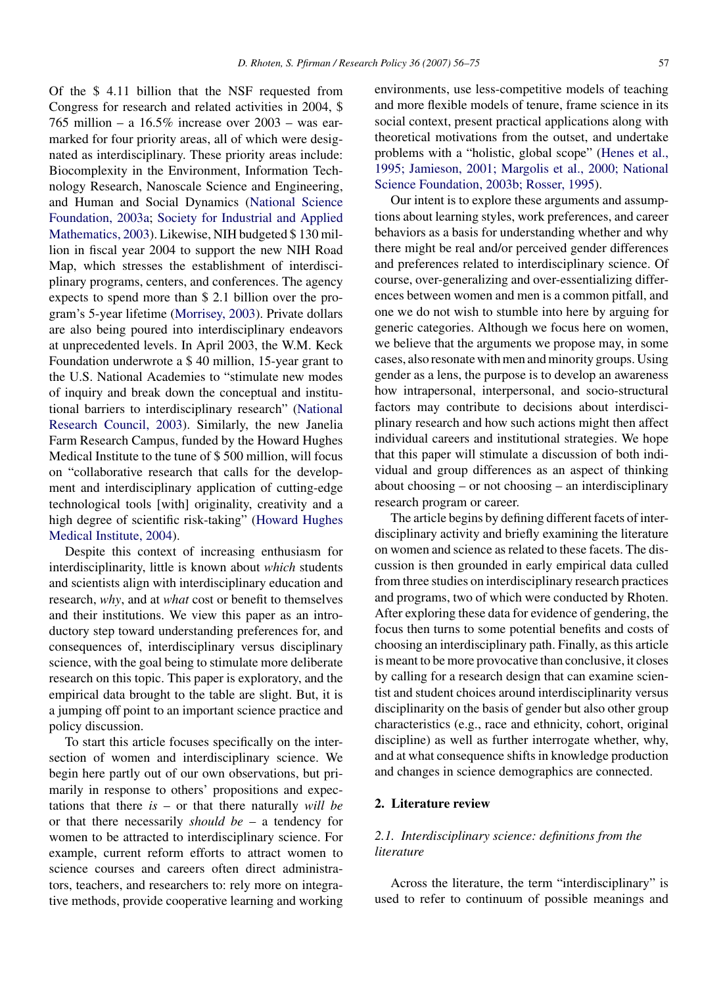Of the \$ 4.11 billion that the NSF requested from Congress for research and related activities in 2004, \$ 765 million – a  $16.5\%$  increase over  $2003$  – was earmarked for four priority areas, all of which were designated as interdisciplinary. These priority areas include: Biocomplexity in the Environment, Information Technology Research, Nanoscale Science and Engineering, and Human and Social Dynamics ([National Science](#page-18-0) [Foundation, 2003a;](#page-18-0) [Society for Industrial and Applied](#page-19-0) [Mathematics, 2003\).](#page-19-0) Likewise, NIH budgeted \$130 million in fiscal year 2004 to support the new NIH Road Map, which stresses the establishment of interdisciplinary programs, centers, and conferences. The agency expects to spend more than \$ 2.1 billion over the program's 5-year lifetime ([Morrisey, 2003\).](#page-18-0) Private dollars are also being poured into interdisciplinary endeavors at unprecedented levels. In April 2003, the W.M. Keck Foundation underwrote a \$ 40 million, 15-year grant to the U.S. National Academies to "stimulate new modes of inquiry and break down the conceptual and institutional barriers to interdisciplinary research" ([National](#page-18-0) [Research Council, 2003\).](#page-18-0) Similarly, the new Janelia Farm Research Campus, funded by the Howard Hughes Medical Institute to the tune of \$ 500 million, will focus on "collaborative research that calls for the development and interdisciplinary application of cutting-edge technological tools [with] originality, creativity and a high degree of scientific risk-taking" ([Howard Hughes](#page-17-0) [Medical Institute, 2004\).](#page-17-0)

Despite this context of increasing enthusiasm for interdisciplinarity, little is known about *which* students and scientists align with interdisciplinary education and research, *why*, and at *what* cost or benefit to themselves and their institutions. We view this paper as an introductory step toward understanding preferences for, and consequences of, interdisciplinary versus disciplinary science, with the goal being to stimulate more deliberate research on this topic. This paper is exploratory, and the empirical data brought to the table are slight. But, it is a jumping off point to an important science practice and policy discussion.

To start this article focuses specifically on the intersection of women and interdisciplinary science. We begin here partly out of our own observations, but primarily in response to others' propositions and expectations that there *is* – or that there naturally *will be* or that there necessarily *should be* – a tendency for women to be attracted to interdisciplinary science. For example, current reform efforts to attract women to science courses and careers often direct administrators, teachers, and researchers to: rely more on integrative methods, provide cooperative learning and working environments, use less-competitive models of teaching and more flexible models of tenure, frame science in its social context, present practical applications along with theoretical motivations from the outset, and undertake problems with a "holistic, global scope" [\(Henes et al.,](#page-17-0) [1995; Jamieson, 2001; Margolis et al., 2000; National](#page-17-0) [Science Foundation, 2003b; Rosser, 1995\).](#page-17-0)

Our intent is to explore these arguments and assumptions about learning styles, work preferences, and career behaviors as a basis for understanding whether and why there might be real and/or perceived gender differences and preferences related to interdisciplinary science. Of course, over-generalizing and over-essentializing differences between women and men is a common pitfall, and one we do not wish to stumble into here by arguing for generic categories. Although we focus here on women, we believe that the arguments we propose may, in some cases, also resonate with men and minority groups. Using gender as a lens, the purpose is to develop an awareness how intrapersonal, interpersonal, and socio-structural factors may contribute to decisions about interdisciplinary research and how such actions might then affect individual careers and institutional strategies. We hope that this paper will stimulate a discussion of both individual and group differences as an aspect of thinking about choosing – or not choosing – an interdisciplinary research program or career.

The article begins by defining different facets of interdisciplinary activity and briefly examining the literature on women and science as related to these facets. The discussion is then grounded in early empirical data culled from three studies on interdisciplinary research practices and programs, two of which were conducted by Rhoten. After exploring these data for evidence of gendering, the focus then turns to some potential benefits and costs of choosing an interdisciplinary path. Finally, as this article is meant to be more provocative than conclusive, it closes by calling for a research design that can examine scientist and student choices around interdisciplinarity versus disciplinarity on the basis of gender but also other group characteristics (e.g., race and ethnicity, cohort, original discipline) as well as further interrogate whether, why, and at what consequence shifts in knowledge production and changes in science demographics are connected.

#### **2. Literature review**

# *2.1. Interdisciplinary science: definitions from the literature*

Across the literature, the term "interdisciplinary" is used to refer to continuum of possible meanings and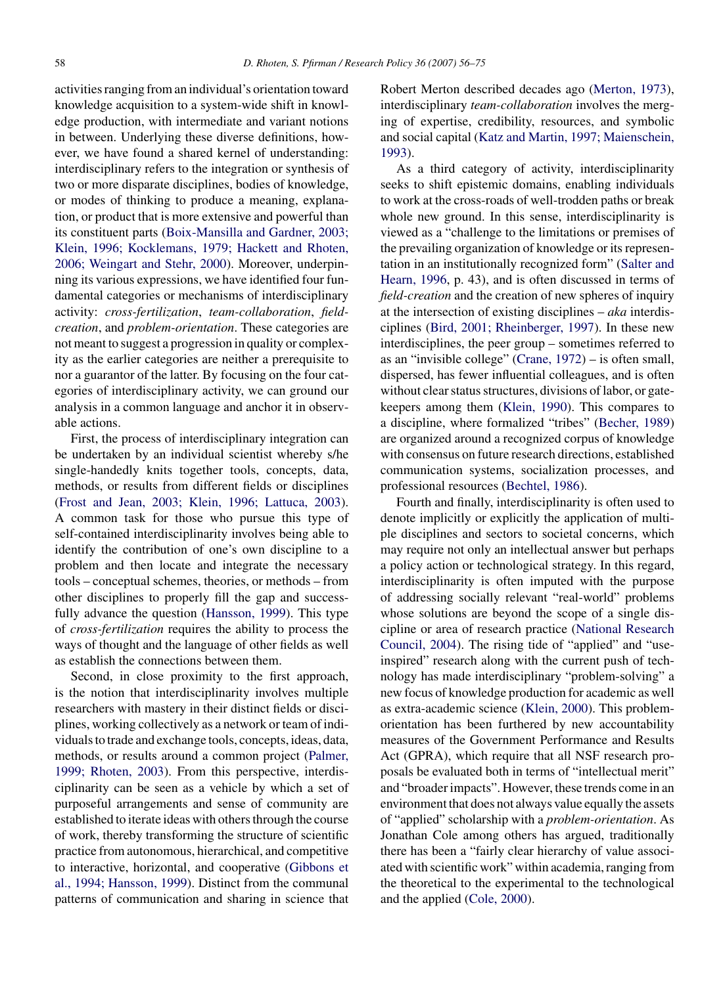activities ranging from an individual's orientation toward knowledge acquisition to a system-wide shift in knowledge production, with intermediate and variant notions in between. Underlying these diverse definitions, however, we have found a shared kernel of understanding: interdisciplinary refers to the integration or synthesis of two or more disparate disciplines, bodies of knowledge, or modes of thinking to produce a meaning, explanation, or product that is more extensive and powerful than its constituent parts [\(Boix-Mansilla and Gardner, 2003;](#page-16-0) [Klein, 1996; Kocklemans, 1979; Hackett and Rhoten,](#page-16-0) [2006; Weingart and Stehr, 2000\).](#page-16-0) Moreover, underpinning its various expressions, we have identified four fundamental categories or mechanisms of interdisciplinary activity: *cross-fertilization*, *team-collaboration*, *fieldcreation*, and *problem-orientation*. These categories are not meant to suggest a progression in quality or complexity as the earlier categories are neither a prerequisite to nor a guarantor of the latter. By focusing on the four categories of interdisciplinary activity, we can ground our analysis in a common language and anchor it in observable actions.

First, the process of interdisciplinary integration can be undertaken by an individual scientist whereby s/he single-handedly knits together tools, concepts, data, methods, or results from different fields or disciplines ([Frost and Jean, 2003; Klein, 1996; Lattuca, 2003\).](#page-17-0) A common task for those who pursue this type of self-contained interdisciplinarity involves being able to identify the contribution of one's own discipline to a problem and then locate and integrate the necessary tools – conceptual schemes, theories, or methods – from other disciplines to properly fill the gap and successfully advance the question [\(Hansson, 1999\).](#page-17-0) This type of *cross-fertilization* requires the ability to process the ways of thought and the language of other fields as well as establish the connections between them.

Second, in close proximity to the first approach, is the notion that interdisciplinarity involves multiple researchers with mastery in their distinct fields or disciplines, working collectively as a network or team of individuals to trade and exchange tools, concepts, ideas, data, methods, or results around a common project [\(Palmer,](#page-18-0) [1999; Rhoten, 2003\).](#page-18-0) From this perspective, interdisciplinarity can be seen as a vehicle by which a set of purposeful arrangements and sense of community are established to iterate ideas with others through the course of work, thereby transforming the structure of scientific practice from autonomous, hierarchical, and competitive to interactive, horizontal, and cooperative ([Gibbons et](#page-17-0) [al., 1994; Hansson, 1999\).](#page-17-0) Distinct from the communal patterns of communication and sharing in science that

Robert Merton described decades ago ([Merton, 1973\),](#page-18-0) interdisciplinary *team-collaboration* involves the merging of expertise, credibility, resources, and symbolic and social capital [\(Katz and Martin, 1997; Maienschein,](#page-17-0) [1993\).](#page-17-0)

As a third category of activity, interdisciplinarity seeks to shift epistemic domains, enabling individuals to work at the cross-roads of well-trodden paths or break whole new ground. In this sense, interdisciplinarity is viewed as a "challenge to the limitations or premises of the prevailing organization of knowledge or its representation in an institutionally recognized form" [\(Salter and](#page-18-0) [Hearn, 1996,](#page-18-0) p. 43), and is often discussed in terms of *field-creation* and the creation of new spheres of inquiry at the intersection of existing disciplines – *aka* interdisciplines ([Bird, 2001; Rheinberger, 1997\).](#page-16-0) In these new interdisciplines, the peer group – sometimes referred to as an "invisible college" [\(Crane, 1972\)](#page-16-0) – is often small, dispersed, has fewer influential colleagues, and is often without clear status structures, divisions of labor, or gatekeepers among them [\(Klein, 1990\).](#page-17-0) This compares to a discipline, where formalized "tribes" ([Becher, 1989\)](#page-16-0) are organized around a recognized corpus of knowledge with consensus on future research directions, established communication systems, socialization processes, and professional resources ([Bechtel, 1986\).](#page-16-0)

Fourth and finally, interdisciplinarity is often used to denote implicitly or explicitly the application of multiple disciplines and sectors to societal concerns, which may require not only an intellectual answer but perhaps a policy action or technological strategy. In this regard, interdisciplinarity is often imputed with the purpose of addressing socially relevant "real-world" problems whose solutions are beyond the scope of a single discipline or area of research practice ([National Research](#page-18-0) [Council, 2004\).](#page-18-0) The rising tide of "applied" and "useinspired" research along with the current push of technology has made interdisciplinary "problem-solving" a new focus of knowledge production for academic as well as extra-academic science [\(Klein, 2000\).](#page-17-0) This problemorientation has been furthered by new accountability measures of the Government Performance and Results Act (GPRA), which require that all NSF research proposals be evaluated both in terms of "intellectual merit" and "broader impacts". However, these trends come in an environment that does not always value equally the assets of "applied" scholarship with a *problem-orientation*. As Jonathan Cole among others has argued, traditionally there has been a "fairly clear hierarchy of value associated with scientific work" within academia, ranging from the theoretical to the experimental to the technological and the applied [\(Cole, 2000\).](#page-16-0)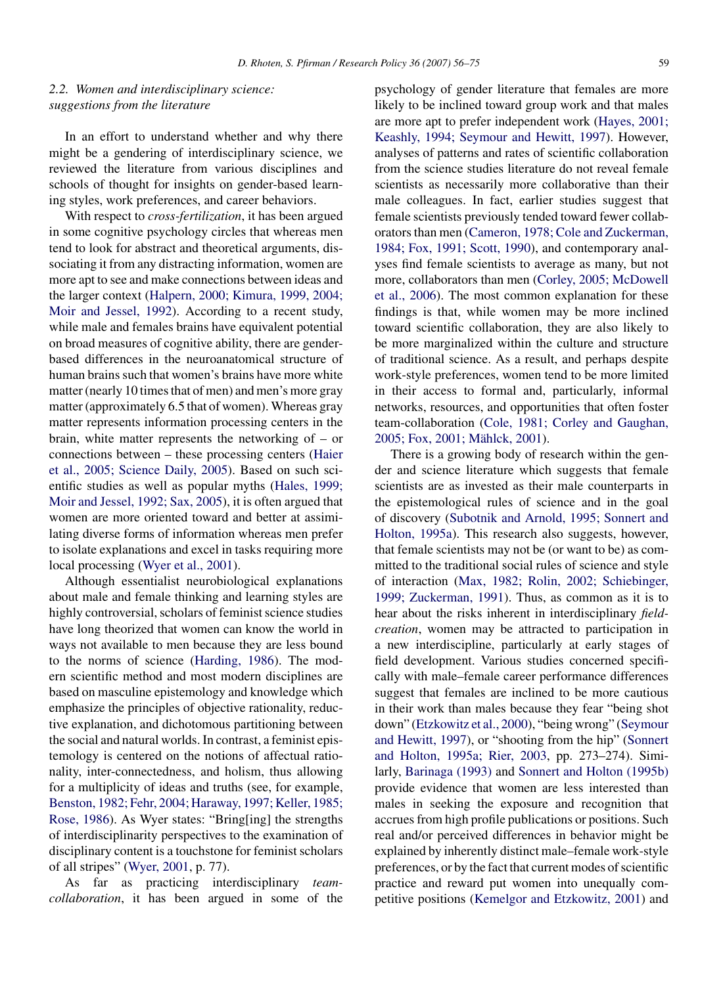# *2.2. Women and interdisciplinary science: suggestions from the literature*

In an effort to understand whether and why there might be a gendering of interdisciplinary science, we reviewed the literature from various disciplines and schools of thought for insights on gender-based learning styles, work preferences, and career behaviors.

With respect to *cross-fertilization*, it has been argued in some cognitive psychology circles that whereas men tend to look for abstract and theoretical arguments, dissociating it from any distracting information, women are more apt to see and make connections between ideas and the larger context [\(Halpern, 2000; Kimura, 1999, 2004;](#page-17-0) [Moir and Jessel, 1992\).](#page-17-0) According to a recent study, while male and females brains have equivalent potential on broad measures of cognitive ability, there are genderbased differences in the neuroanatomical structure of human brains such that women's brains have more white matter (nearly 10 times that of men) and men's more gray matter (approximately 6.5 that of women). Whereas gray matter represents information processing centers in the brain, white matter represents the networking of – or connections between – these processing centers [\(Haier](#page-17-0) [et al., 2005; Science Daily, 2005\).](#page-17-0) Based on such scientific studies as well as popular myths ([Hales, 1999;](#page-17-0) [Moir and Jessel, 1992; Sax, 2005\),](#page-17-0) it is often argued that women are more oriented toward and better at assimilating diverse forms of information whereas men prefer to isolate explanations and excel in tasks requiring more local processing [\(Wyer et al., 2001\).](#page-19-0)

Although essentialist neurobiological explanations about male and female thinking and learning styles are highly controversial, scholars of feminist science studies have long theorized that women can know the world in ways not available to men because they are less bound to the norms of science [\(Harding, 1986\).](#page-17-0) The modern scientific method and most modern disciplines are based on masculine epistemology and knowledge which emphasize the principles of objective rationality, reductive explanation, and dichotomous partitioning between the social and natural worlds. In contrast, a feminist epistemology is centered on the notions of affectual rationality, inter-connectedness, and holism, thus allowing for a multiplicity of ideas and truths (see, for example, [Benston, 1982; Fehr, 2004; Haraway, 1997; Keller, 1985;](#page-16-0) [Rose, 1986\).](#page-16-0) As Wyer states: "Bring[ing] the strengths of interdisciplinarity perspectives to the examination of disciplinary content is a touchstone for feminist scholars of all stripes" [\(Wyer, 2001,](#page-19-0) p. 77).

As far as practicing interdisciplinary *teamcollaboration*, it has been argued in some of the psychology of gender literature that females are more likely to be inclined toward group work and that males are more apt to prefer independent work [\(Hayes, 2001;](#page-17-0) [Keashly, 1994; Seymour and Hewitt, 1997\).](#page-17-0) However, analyses of patterns and rates of scientific collaboration from the science studies literature do not reveal female scientists as necessarily more collaborative than their male colleagues. In fact, earlier studies suggest that female scientists previously tended toward fewer collaborators than men ([Cameron, 1978; Cole and Zuckerman,](#page-16-0) [1984; Fox, 1991; Scott, 1990\),](#page-16-0) and contemporary analyses find female scientists to average as many, but not more, collaborators than men [\(Corley, 2005; McDowell](#page-16-0) [et al., 2006\).](#page-16-0) The most common explanation for these findings is that, while women may be more inclined toward scientific collaboration, they are also likely to be more marginalized within the culture and structure of traditional science. As a result, and perhaps despite work-style preferences, women tend to be more limited in their access to formal and, particularly, informal networks, resources, and opportunities that often foster team-collaboration [\(Cole, 1981; Corley and Gaughan,](#page-16-0) 2005; Fox, 2001; Mählck, 2001).

There is a growing body of research within the gender and science literature which suggests that female scientists are as invested as their male counterparts in the epistemological rules of science and in the goal of discovery [\(Subotnik and Arnold, 1995; Sonnert and](#page-19-0) [Holton, 1995a\).](#page-19-0) This research also suggests, however, that female scientists may not be (or want to be) as committed to the traditional social rules of science and style of interaction [\(Max, 1982; Rolin, 2002; Schiebinger,](#page-18-0) [1999; Zuckerman, 1991\).](#page-18-0) Thus, as common as it is to hear about the risks inherent in interdisciplinary *fieldcreation*, women may be attracted to participation in a new interdiscipline, particularly at early stages of field development. Various studies concerned specifically with male–female career performance differences suggest that females are inclined to be more cautious in their work than males because they fear "being shot down" [\(Etzkowitz et al., 2000\),](#page-17-0) "being wrong" [\(Seymour](#page-18-0) [and Hewitt, 1997\),](#page-18-0) or "shooting from the hip" [\(Sonnert](#page-19-0) [and Holton, 1995a; Rier, 2003,](#page-19-0) pp. 273–274). Similarly, [Barinaga \(1993\)](#page-16-0) and [Sonnert and Holton \(1995b\)](#page-19-0) provide evidence that women are less interested than males in seeking the exposure and recognition that accrues from high profile publications or positions. Such real and/or perceived differences in behavior might be explained by inherently distinct male–female work-style preferences, or by the fact that current modes of scientific practice and reward put women into unequally competitive positions ([Kemelgor and Etzkowitz, 2001\)](#page-17-0) and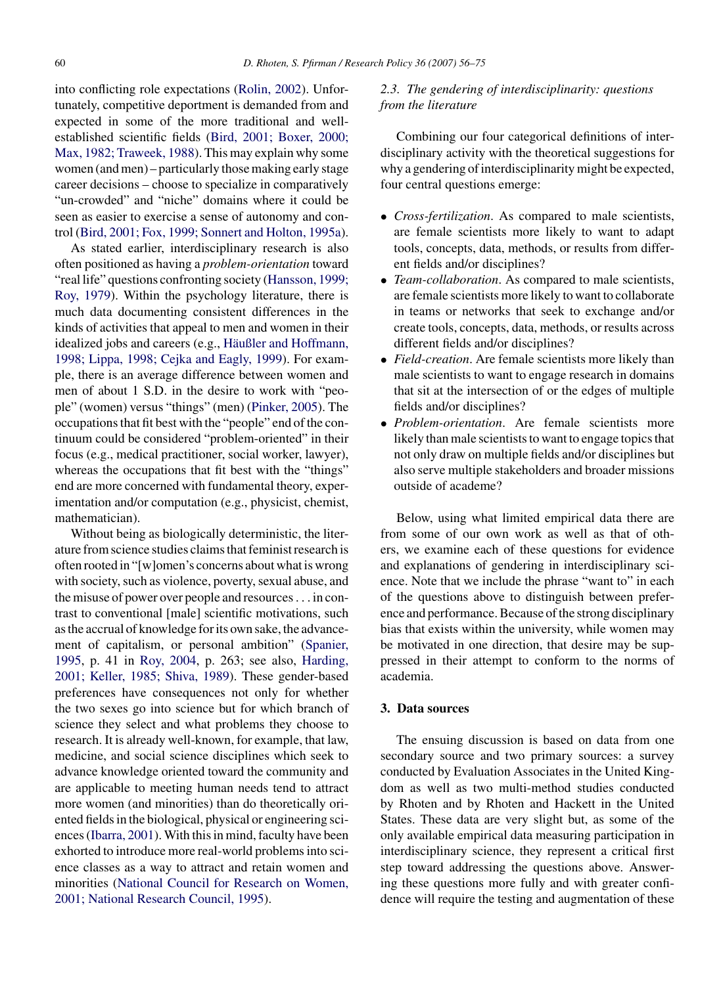into conflicting role expectations [\(Rolin, 2002\).](#page-18-0) Unfortunately, competitive deportment is demanded from and expected in some of the more traditional and wellestablished scientific fields [\(Bird, 2001; Boxer, 2000;](#page-16-0) [Max, 1982; Traweek, 1988\).](#page-16-0) This may explain why some women (and men) – particularly those making early stage career decisions – choose to specialize in comparatively "un-crowded" and "niche" domains where it could be seen as easier to exercise a sense of autonomy and control [\(Bird, 2001; Fox, 1999; Sonnert and Holton, 1995a\).](#page-16-0)

As stated earlier, interdisciplinary research is also often positioned as having a *problem-orientation* toward "real life" questions confronting society [\(Hansson, 1999;](#page-17-0) [Roy, 1979\).](#page-17-0) Within the psychology literature, there is much data documenting consistent differences in the kinds of activities that appeal to men and women in their idealized jobs and careers (e.g., Häußler and Hoffmann, [1998; Lippa, 1998; Cejka and Eagly, 1999\).](#page-17-0) For example, there is an average difference between women and men of about 1 S.D. in the desire to work with "people" (women) versus "things" (men) [\(Pinker, 2005\).](#page-18-0) The occupations that fit best with the "people" end of the continuum could be considered "problem-oriented" in their focus (e.g., medical practitioner, social worker, lawyer), whereas the occupations that fit best with the "things" end are more concerned with fundamental theory, experimentation and/or computation (e.g., physicist, chemist, mathematician).

Without being as biologically deterministic, the literature from science studies claims that feminist research is often rooted in "[w]omen's concerns about what is wrong with society, such as violence, poverty, sexual abuse, and the misuse of power over people and resources... in contrast to conventional [male] scientific motivations, such as the accrual of knowledge for its own sake, the advancement of capitalism, or personal ambition" ([Spanier,](#page-19-0) [1995,](#page-19-0) p. 41 in [Roy, 2004,](#page-18-0) p. 263; see also, [Harding,](#page-17-0) [2001; Keller, 1985; Shiva, 1989\).](#page-17-0) These gender-based preferences have consequences not only for whether the two sexes go into science but for which branch of science they select and what problems they choose to research. It is already well-known, for example, that law, medicine, and social science disciplines which seek to advance knowledge oriented toward the community and are applicable to meeting human needs tend to attract more women (and minorities) than do theoretically oriented fields in the biological, physical or engineering sciences [\(Ibarra, 2001\).](#page-17-0) With this in mind, faculty have been exhorted to introduce more real-world problems into science classes as a way to attract and retain women and minorities [\(National Council for Research on Women,](#page-18-0) [2001; National Research Council, 1995\).](#page-18-0)

# *2.3. The gendering of interdisciplinarity: questions from the literature*

Combining our four categorical definitions of interdisciplinary activity with the theoretical suggestions for why a gendering of interdisciplinarity might be expected, four central questions emerge:

- *Cross-fertilization*. As compared to male scientists, are female scientists more likely to want to adapt tools, concepts, data, methods, or results from different fields and/or disciplines?
- *Team-collaboration*. As compared to male scientists, are female scientists more likely to want to collaborate in teams or networks that seek to exchange and/or create tools, concepts, data, methods, or results across different fields and/or disciplines?
- *Field-creation*. Are female scientists more likely than male scientists to want to engage research in domains that sit at the intersection of or the edges of multiple fields and/or disciplines?
- *Problem-orientation*. Are female scientists more likely than male scientists to want to engage topics that not only draw on multiple fields and/or disciplines but also serve multiple stakeholders and broader missions outside of academe?

Below, using what limited empirical data there are from some of our own work as well as that of others, we examine each of these questions for evidence and explanations of gendering in interdisciplinary science. Note that we include the phrase "want to" in each of the questions above to distinguish between preference and performance. Because of the strong disciplinary bias that exists within the university, while women may be motivated in one direction, that desire may be suppressed in their attempt to conform to the norms of academia.

## **3. Data sources**

The ensuing discussion is based on data from one secondary source and two primary sources: a survey conducted by Evaluation Associates in the United Kingdom as well as two multi-method studies conducted by Rhoten and by Rhoten and Hackett in the United States. These data are very slight but, as some of the only available empirical data measuring participation in interdisciplinary science, they represent a critical first step toward addressing the questions above. Answering these questions more fully and with greater confidence will require the testing and augmentation of these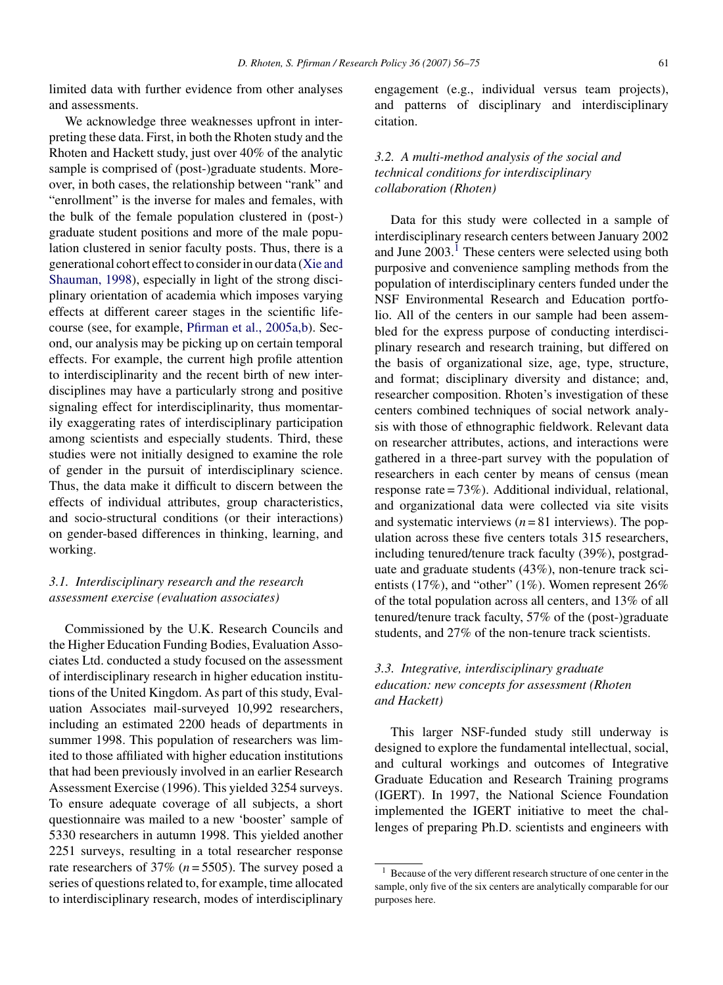limited data with further evidence from other analyses and assessments.

We acknowledge three weaknesses upfront in interpreting these data. First, in both the Rhoten study and the Rhoten and Hackett study, just over 40% of the analytic sample is comprised of (post-)graduate students. Moreover, in both cases, the relationship between "rank" and "enrollment" is the inverse for males and females, with the bulk of the female population clustered in (post-) graduate student positions and more of the male population clustered in senior faculty posts. Thus, there is a generational cohort effect to consider in our data ([Xie and](#page-19-0) [Shauman, 1998\),](#page-19-0) especially in light of the strong disciplinary orientation of academia which imposes varying effects at different career stages in the scientific lifecourse (see, for example, [Pfirman et al., 2005a,b\).](#page-18-0) Second, our analysis may be picking up on certain temporal effects. For example, the current high profile attention to interdisciplinarity and the recent birth of new interdisciplines may have a particularly strong and positive signaling effect for interdisciplinarity, thus momentarily exaggerating rates of interdisciplinary participation among scientists and especially students. Third, these studies were not initially designed to examine the role of gender in the pursuit of interdisciplinary science. Thus, the data make it difficult to discern between the effects of individual attributes, group characteristics, and socio-structural conditions (or their interactions) on gender-based differences in thinking, learning, and working.

# *3.1. Interdisciplinary research and the research assessment exercise (evaluation associates)*

Commissioned by the U.K. Research Councils and the Higher Education Funding Bodies, Evaluation Associates Ltd. conducted a study focused on the assessment of interdisciplinary research in higher education institutions of the United Kingdom. As part of this study, Evaluation Associates mail-surveyed 10,992 researchers, including an estimated 2200 heads of departments in summer 1998. This population of researchers was limited to those affiliated with higher education institutions that had been previously involved in an earlier Research Assessment Exercise (1996). This yielded 3254 surveys. To ensure adequate coverage of all subjects, a short questionnaire was mailed to a new 'booster' sample of 5330 researchers in autumn 1998. This yielded another 2251 surveys, resulting in a total researcher response rate researchers of 37% (*n* = 5505). The survey posed a series of questions related to, for example, time allocated to interdisciplinary research, modes of interdisciplinary engagement (e.g., individual versus team projects), and patterns of disciplinary and interdisciplinary citation.

## *3.2. A multi-method analysis of the social and technical conditions for interdisciplinary collaboration (Rhoten)*

Data for this study were collected in a sample of interdisciplinary research centers between January 2002 and June 2003.<sup>1</sup> These centers were selected using both purposive and convenience sampling methods from the population of interdisciplinary centers funded under the NSF Environmental Research and Education portfolio. All of the centers in our sample had been assembled for the express purpose of conducting interdisciplinary research and research training, but differed on the basis of organizational size, age, type, structure, and format; disciplinary diversity and distance; and, researcher composition. Rhoten's investigation of these centers combined techniques of social network analysis with those of ethnographic fieldwork. Relevant data on researcher attributes, actions, and interactions were gathered in a three-part survey with the population of researchers in each center by means of census (mean response rate = 73%). Additional individual, relational, and organizational data were collected via site visits and systematic interviews  $(n = 81$  interviews). The population across these five centers totals 315 researchers, including tenured/tenure track faculty (39%), postgraduate and graduate students (43%), non-tenure track scientists (17%), and "other" (1%). Women represent 26% of the total population across all centers, and 13% of all tenured/tenure track faculty, 57% of the (post-)graduate students, and 27% of the non-tenure track scientists.

# *3.3. Integrative, interdisciplinary graduate education: new concepts for assessment (Rhoten and Hackett)*

This larger NSF-funded study still underway is designed to explore the fundamental intellectual, social, and cultural workings and outcomes of Integrative Graduate Education and Research Training programs (IGERT). In 1997, the National Science Foundation implemented the IGERT initiative to meet the challenges of preparing Ph.D. scientists and engineers with

<sup>1</sup> Because of the very different research structure of one center in the sample, only five of the six centers are analytically comparable for our purposes here.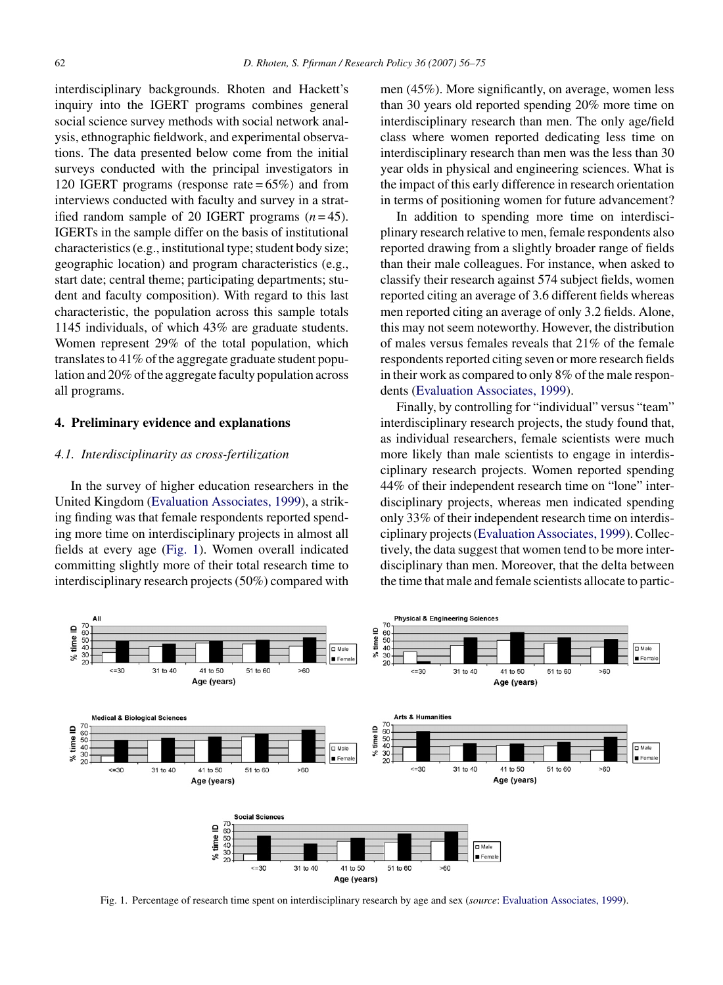interdisciplinary backgrounds. Rhoten and Hackett's inquiry into the IGERT programs combines general social science survey methods with social network analysis, ethnographic fieldwork, and experimental observations. The data presented below come from the initial surveys conducted with the principal investigators in 120 IGERT programs (response rate  $= 65\%$ ) and from interviews conducted with faculty and survey in a stratified random sample of 20 IGERT programs  $(n=45)$ . IGERTs in the sample differ on the basis of institutional characteristics (e.g., institutional type; student body size; geographic location) and program characteristics (e.g., start date; central theme; participating departments; student and faculty composition). With regard to this last characteristic, the population across this sample totals 1145 individuals, of which 43% are graduate students. Women represent 29% of the total population, which translates to 41% of the aggregate graduate student population and 20% of the aggregate faculty population across all programs.

## **4. Preliminary evidence and explanations**

#### *4.1. Interdisciplinarity as cross-fertilization*

In the survey of higher education researchers in the United Kingdom ([Evaluation Associates, 1999\),](#page-17-0) a striking finding was that female respondents reported spending more time on interdisciplinary projects in almost all fields at every age (Fig. 1). Women overall indicated committing slightly more of their total research time to interdisciplinary research projects (50%) compared with men (45%). More significantly, on average, women less than 30 years old reported spending 20% more time on interdisciplinary research than men. The only age/field class where women reported dedicating less time on interdisciplinary research than men was the less than 30 year olds in physical and engineering sciences. What is the impact of this early difference in research orientation in terms of positioning women for future advancement?

In addition to spending more time on interdisciplinary research relative to men, female respondents also reported drawing from a slightly broader range of fields than their male colleagues. For instance, when asked to classify their research against 574 subject fields, women reported citing an average of 3.6 different fields whereas men reported citing an average of only 3.2 fields. Alone, this may not seem noteworthy. However, the distribution of males versus females reveals that 21% of the female respondents reported citing seven or more research fields in their work as compared to only 8% of the male respondents [\(Evaluation Associates, 1999\).](#page-17-0)

Finally, by controlling for "individual" versus "team" interdisciplinary research projects, the study found that, as individual researchers, female scientists were much more likely than male scientists to engage in interdisciplinary research projects. Women reported spending 44% of their independent research time on "lone" interdisciplinary projects, whereas men indicated spending only 33% of their independent research time on interdisciplinary projects ([Evaluation Associates, 1999\).](#page-17-0) Collectively, the data suggest that women tend to be more interdisciplinary than men. Moreover, that the delta between the time that male and female scientists allocate to partic-



Fig. 1. Percentage of research time spent on interdisciplinary research by age and sex (*source*: [Evaluation Associates, 1999\).](#page-17-0)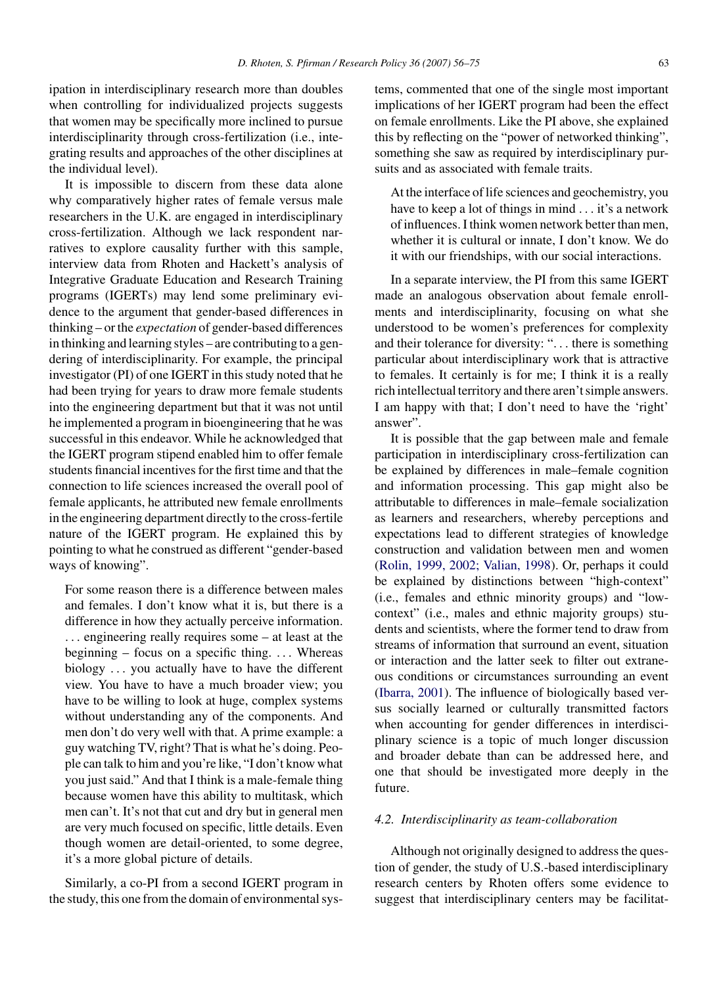*D. Rhoten, S. Pfirman / Research Policy 36 (2007) 56–75* 63

ipation in interdisciplinary research more than doubles when controlling for individualized projects suggests that women may be specifically more inclined to pursue interdisciplinarity through cross-fertilization (i.e., integrating results and approaches of the other disciplines at the individual level).

It is impossible to discern from these data alone why comparatively higher rates of female versus male researchers in the U.K. are engaged in interdisciplinary cross-fertilization. Although we lack respondent narratives to explore causality further with this sample, interview data from Rhoten and Hackett's analysis of Integrative Graduate Education and Research Training programs (IGERTs) may lend some preliminary evidence to the argument that gender-based differences in thinking – or the *expectation* of gender-based differences in thinking and learning styles – are contributing to a gendering of interdisciplinarity. For example, the principal investigator (PI) of one IGERT in this study noted that he had been trying for years to draw more female students into the engineering department but that it was not until he implemented a program in bioengineering that he was successful in this endeavor. While he acknowledged that the IGERT program stipend enabled him to offer female students financial incentives for the first time and that the connection to life sciences increased the overall pool of female applicants, he attributed new female enrollments in the engineering department directly to the cross-fertile nature of the IGERT program. He explained this by pointing to what he construed as different "gender-based ways of knowing".

For some reason there is a difference between males and females. I don't know what it is, but there is a difference in how they actually perceive information. ... engineering really requires some – at least at the beginning – focus on a specific thing. ... Whereas biology ... you actually have to have the different view. You have to have a much broader view; you have to be willing to look at huge, complex systems without understanding any of the components. And men don't do very well with that. A prime example: a guy watching TV, right? That is what he's doing. People can talk to him and you're like, "I don't know what you just said." And that I think is a male-female thing because women have this ability to multitask, which men can't. It's not that cut and dry but in general men are very much focused on specific, little details. Even though women are detail-oriented, to some degree, it's a more global picture of details.

Similarly, a co-PI from a second IGERT program in the study, this one from the domain of environmental systems, commented that one of the single most important implications of her IGERT program had been the effect on female enrollments. Like the PI above, she explained this by reflecting on the "power of networked thinking", something she saw as required by interdisciplinary pursuits and as associated with female traits.

At the interface of life sciences and geochemistry, you have to keep a lot of things in mind ... it's a network of influences. I think women network better than men, whether it is cultural or innate, I don't know. We do it with our friendships, with our social interactions.

In a separate interview, the PI from this same IGERT made an analogous observation about female enrollments and interdisciplinarity, focusing on what she understood to be women's preferences for complexity and their tolerance for diversity: "... there is something particular about interdisciplinary work that is attractive to females. It certainly is for me; I think it is a really rich intellectual territory and there aren't simple answers. I am happy with that; I don't need to have the 'right' answer".

It is possible that the gap between male and female participation in interdisciplinary cross-fertilization can be explained by differences in male–female cognition and information processing. This gap might also be attributable to differences in male–female socialization as learners and researchers, whereby perceptions and expectations lead to different strategies of knowledge construction and validation between men and women [\(Rolin, 1999, 2002; Valian, 1998\).](#page-18-0) Or, perhaps it could be explained by distinctions between "high-context" (i.e., females and ethnic minority groups) and "lowcontext" (i.e., males and ethnic majority groups) students and scientists, where the former tend to draw from streams of information that surround an event, situation or interaction and the latter seek to filter out extraneous conditions or circumstances surrounding an event [\(Ibarra, 2001\).](#page-17-0) The influence of biologically based versus socially learned or culturally transmitted factors when accounting for gender differences in interdisciplinary science is a topic of much longer discussion and broader debate than can be addressed here, and one that should be investigated more deeply in the future.

## *4.2. Interdisciplinarity as team-collaboration*

Although not originally designed to address the question of gender, the study of U.S.-based interdisciplinary research centers by Rhoten offers some evidence to suggest that interdisciplinary centers may be facilitat-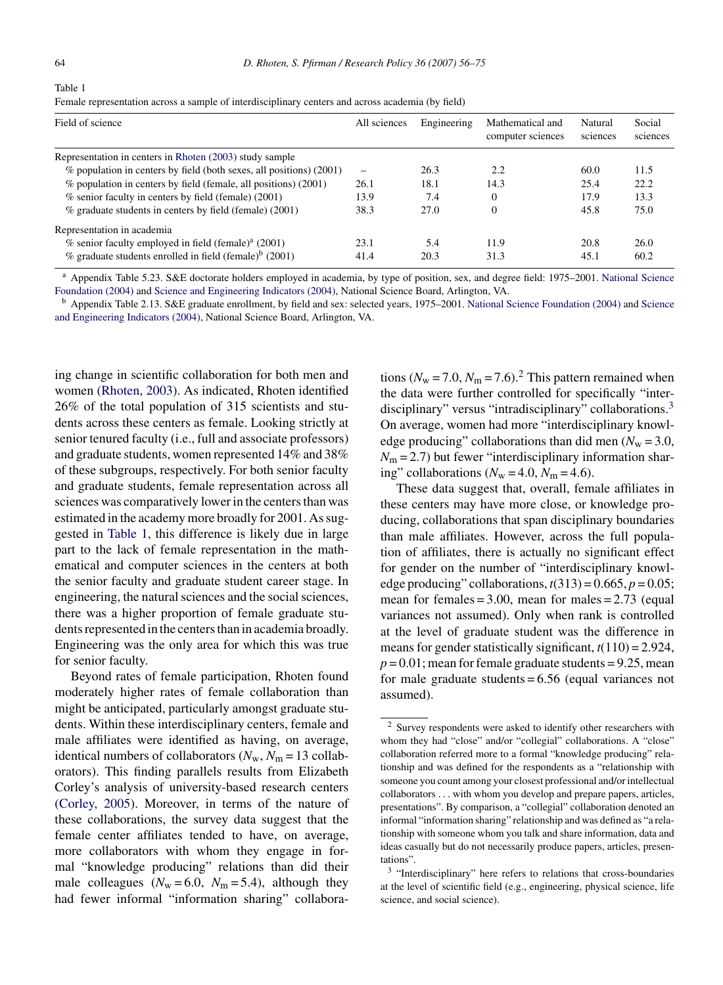Table 1

Female representation across a sample of interdisciplinary centers and across academia (by field)

| Field of science                                                       | All sciences | Engineering | Mathematical and<br>computer sciences | Natural<br>sciences | Social<br>sciences |
|------------------------------------------------------------------------|--------------|-------------|---------------------------------------|---------------------|--------------------|
| Representation in centers in Rhoten (2003) study sample                |              |             |                                       |                     |                    |
| $\%$ population in centers by field (both sexes, all positions) (2001) |              | 26.3        | 2.2                                   | 60.0                | 11.5               |
| % population in centers by field (female, all positions) (2001)        | 26.1         | 18.1        | 14.3                                  | 25.4                | 22.2               |
| % senior faculty in centers by field (female) (2001)                   | 13.9         | 7.4         |                                       | 17.9                | 13.3               |
| $%$ graduate students in centers by field (female) (2001)              | 38.3         | 27.0        |                                       | 45.8                | 75.0               |
| Representation in academia                                             |              |             |                                       |                     |                    |
| $\%$ senior faculty employed in field (female) <sup>a</sup> (2001)     | 23.1         | 5.4         | 11.9                                  | 20.8                | 26.0               |
| $\%$ graduate students enrolled in field (female) <sup>b</sup> (2001)  | 41.4         | 20.3        | 31.3                                  | 45.1                | 60.2               |

<sup>a</sup> Appendix Table 5.23. S&E doctorate holders employed in academia, by type of position, sex, and degree field: 1975–2001. [National Science](#page-18-0) [Foundation \(2004\)](#page-18-0) and [Science and Engineering Indicators \(2004\), N](#page-18-0)ational Science Board, Arlington, VA.

<sup>b</sup> Appendix Table 2.13. S&E graduate enrollment, by field and sex: selected years, 1975–2001. [National Science Foundation \(2004\)](#page-18-0) and [Science](#page-18-0) [and Engineering Indicators \(2004\), N](#page-18-0)ational Science Board, Arlington, VA.

ing change in scientific collaboration for both men and women [\(Rhoten, 2003\).](#page-18-0) As indicated, Rhoten identified 26% of the total population of 315 scientists and students across these centers as female. Looking strictly at senior tenured faculty (i.e., full and associate professors) and graduate students, women represented 14% and 38% of these subgroups, respectively. For both senior faculty and graduate students, female representation across all sciences was comparatively lower in the centers than was estimated in the academy more broadly for 2001. As suggested in Table 1, this difference is likely due in large part to the lack of female representation in the mathematical and computer sciences in the centers at both the senior faculty and graduate student career stage. In engineering, the natural sciences and the social sciences, there was a higher proportion of female graduate students represented in the centers than in academia broadly. Engineering was the only area for which this was true for senior faculty.

Beyond rates of female participation, Rhoten found moderately higher rates of female collaboration than might be anticipated, particularly amongst graduate students. Within these interdisciplinary centers, female and male affiliates were identified as having, on average, identical numbers of collaborators  $(N_w, N_m = 13 \text{ collab}$ orators). This finding parallels results from Elizabeth Corley's analysis of university-based research centers ([Corley, 2005\).](#page-16-0) Moreover, in terms of the nature of these collaborations, the survey data suggest that the female center affiliates tended to have, on average, more collaborators with whom they engage in formal "knowledge producing" relations than did their male colleagues ( $N_w = 6.0$ ,  $N_m = 5.4$ ), although they had fewer informal "information sharing" collaborations ( $N_w$  = 7.0,  $N_m$  = 7.6).<sup>2</sup> This pattern remained when the data were further controlled for specifically "interdisciplinary" versus "intradisciplinary" collaborations.<sup>3</sup> On average, women had more "interdisciplinary knowledge producing" collaborations than did men  $(N_w = 3.0,$  $N_{\rm m}$  = 2.7) but fewer "interdisciplinary information sharing" collaborations ( $N_w = 4.0$ ,  $N_m = 4.6$ ).

These data suggest that, overall, female affiliates in these centers may have more close, or knowledge producing, collaborations that span disciplinary boundaries than male affiliates. However, across the full population of affiliates, there is actually no significant effect for gender on the number of "interdisciplinary knowledge producing" collaborations,  $t(313) = 0.665$ ,  $p = 0.05$ ; mean for females =  $3.00$ , mean for males =  $2.73$  (equal variances not assumed). Only when rank is controlled at the level of graduate student was the difference in means for gender statistically significant, *t*(110) = 2.924,  $p = 0.01$ ; mean for female graduate students = 9.25, mean for male graduate students = 6.56 (equal variances not assumed).

<sup>2</sup> Survey respondents were asked to identify other researchers with whom they had "close" and/or "collegial" collaborations. A "close" collaboration referred more to a formal "knowledge producing" relationship and was defined for the respondents as a "relationship with someone you count among your closest professional and/or intellectual collaborators ... with whom you develop and prepare papers, articles, presentations". By comparison, a "collegial" collaboration denoted an informal "information sharing" relationship and was defined as "a relationship with someone whom you talk and share information, data and ideas casually but do not necessarily produce papers, articles, presentations".

<sup>&</sup>lt;sup>3</sup> "Interdisciplinary" here refers to relations that cross-boundaries at the level of scientific field (e.g., engineering, physical science, life science, and social science).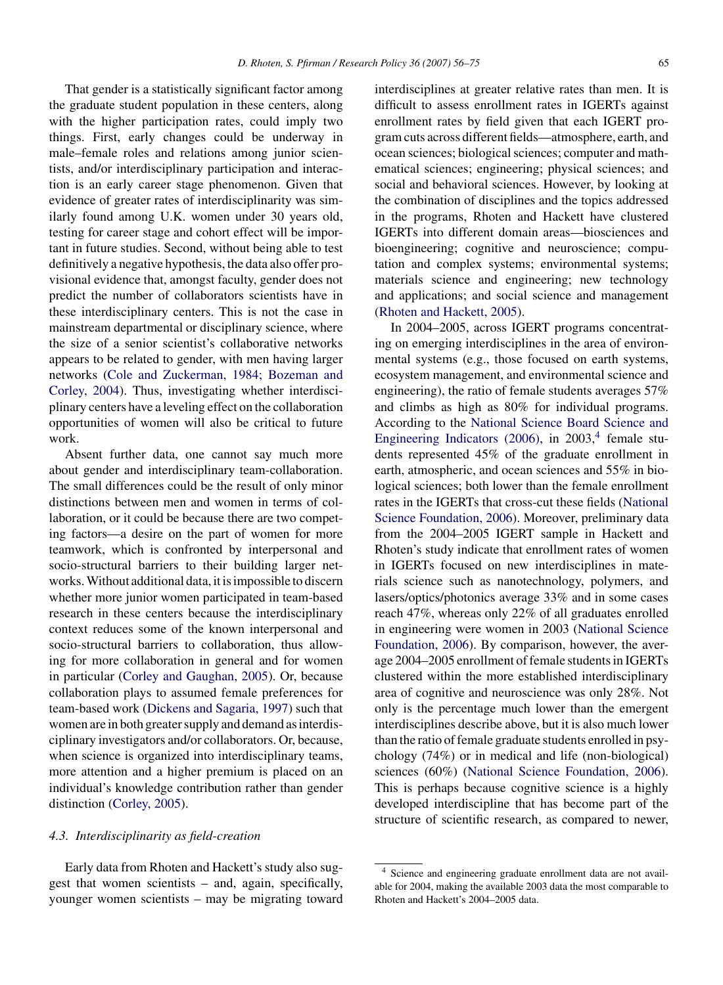That gender is a statistically significant factor among the graduate student population in these centers, along with the higher participation rates, could imply two things. First, early changes could be underway in male–female roles and relations among junior scientists, and/or interdisciplinary participation and interaction is an early career stage phenomenon. Given that evidence of greater rates of interdisciplinarity was similarly found among U.K. women under 30 years old, testing for career stage and cohort effect will be important in future studies. Second, without being able to test definitively a negative hypothesis, the data also offer provisional evidence that, amongst faculty, gender does not predict the number of collaborators scientists have in these interdisciplinary centers. This is not the case in mainstream departmental or disciplinary science, where the size of a senior scientist's collaborative networks appears to be related to gender, with men having larger networks ([Cole and Zuckerman, 1984; Bozeman and](#page-16-0) [Corley, 2004\).](#page-16-0) Thus, investigating whether interdisciplinary centers have a leveling effect on the collaboration opportunities of women will also be critical to future work.

Absent further data, one cannot say much more about gender and interdisciplinary team-collaboration. The small differences could be the result of only minor distinctions between men and women in terms of collaboration, or it could be because there are two competing factors—a desire on the part of women for more teamwork, which is confronted by interpersonal and socio-structural barriers to their building larger networks. Without additional data, it is impossible to discern whether more junior women participated in team-based research in these centers because the interdisciplinary context reduces some of the known interpersonal and socio-structural barriers to collaboration, thus allowing for more collaboration in general and for women in particular ([Corley and Gaughan, 2005\).](#page-16-0) Or, because collaboration plays to assumed female preferences for team-based work ([Dickens and Sagaria, 1997\)](#page-17-0) such that women are in both greater supply and demand as interdisciplinary investigators and/or collaborators. Or, because, when science is organized into interdisciplinary teams, more attention and a higher premium is placed on an individual's knowledge contribution rather than gender distinction ([Corley, 2005\).](#page-16-0)

## *4.3. Interdisciplinarity as field-creation*

Early data from Rhoten and Hackett's study also suggest that women scientists – and, again, specifically, younger women scientists – may be migrating toward interdisciplines at greater relative rates than men. It is difficult to assess enrollment rates in IGERTs against enrollment rates by field given that each IGERT program cuts across different fields—atmosphere, earth, and ocean sciences; biological sciences; computer and mathematical sciences; engineering; physical sciences; and social and behavioral sciences. However, by looking at the combination of disciplines and the topics addressed in the programs, Rhoten and Hackett have clustered IGERTs into different domain areas—biosciences and bioengineering; cognitive and neuroscience; computation and complex systems; environmental systems; materials science and engineering; new technology and applications; and social science and management [\(Rhoten and Hackett, 2005\).](#page-18-0)

In 2004–2005, across IGERT programs concentrating on emerging interdisciplines in the area of environmental systems (e.g., those focused on earth systems, ecosystem management, and environmental science and engineering), the ratio of female students averages 57% and climbs as high as 80% for individual programs. According to the [National Science Board Science and](#page-18-0) [Engineering Indicators \(2006\),](#page-18-0) in  $2003$ ,<sup>4</sup> female students represented 45% of the graduate enrollment in earth, atmospheric, and ocean sciences and 55% in biological sciences; both lower than the female enrollment rates in the IGERTs that cross-cut these fields ([National](#page-18-0) [Science Foundation, 2006\).](#page-18-0) Moreover, preliminary data from the 2004–2005 IGERT sample in Hackett and Rhoten's study indicate that enrollment rates of women in IGERTs focused on new interdisciplines in materials science such as nanotechnology, polymers, and lasers/optics/photonics average 33% and in some cases reach 47%, whereas only 22% of all graduates enrolled in engineering were women in 2003 ([National Science](#page-18-0) [Foundation, 2006\).](#page-18-0) By comparison, however, the average 2004–2005 enrollment of female students in IGERTs clustered within the more established interdisciplinary area of cognitive and neuroscience was only 28%. Not only is the percentage much lower than the emergent interdisciplines describe above, but it is also much lower than the ratio of female graduate students enrolled in psychology (74%) or in medical and life (non-biological) sciences (60%) ([National Science Foundation, 2006\).](#page-18-0) This is perhaps because cognitive science is a highly developed interdiscipline that has become part of the structure of scientific research, as compared to newer,

<sup>4</sup> Science and engineering graduate enrollment data are not available for 2004, making the available 2003 data the most comparable to Rhoten and Hackett's 2004–2005 data.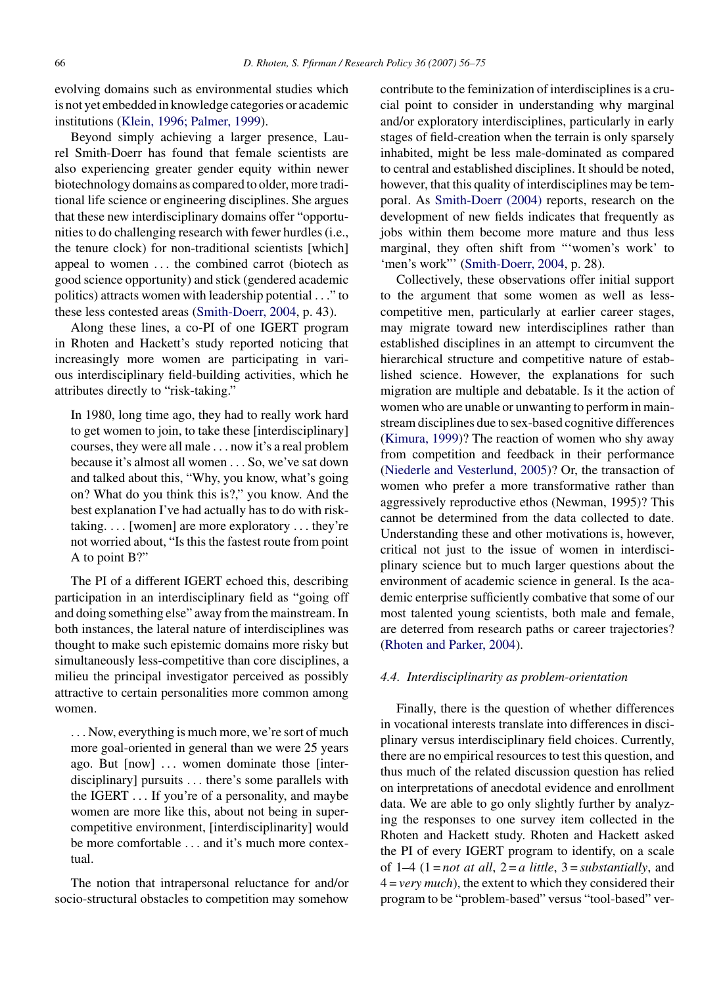evolving domains such as environmental studies which is not yet embedded in knowledge categories or academic institutions [\(Klein, 1996; Palmer, 1999\).](#page-17-0)

Beyond simply achieving a larger presence, Laurel Smith-Doerr has found that female scientists are also experiencing greater gender equity within newer biotechnology domains as compared to older, more traditional life science or engineering disciplines. She argues that these new interdisciplinary domains offer "opportunities to do challenging research with fewer hurdles (i.e., the tenure clock) for non-traditional scientists [which] appeal to women ... the combined carrot (biotech as good science opportunity) and stick (gendered academic politics) attracts women with leadership potential ..." to these less contested areas [\(Smith-Doerr, 2004, p](#page-19-0). 43).

Along these lines, a co-PI of one IGERT program in Rhoten and Hackett's study reported noticing that increasingly more women are participating in various interdisciplinary field-building activities, which he attributes directly to "risk-taking."

In 1980, long time ago, they had to really work hard to get women to join, to take these [interdisciplinary] courses, they were all male ... now it's a real problem because it's almost all women ... So, we've sat down and talked about this, "Why, you know, what's going on? What do you think this is?," you know. And the best explanation I've had actually has to do with risktaking. ... [women] are more exploratory ... they're not worried about, "Is this the fastest route from point A to point B?"

The PI of a different IGERT echoed this, describing participation in an interdisciplinary field as "going off and doing something else" away from the mainstream. In both instances, the lateral nature of interdisciplines was thought to make such epistemic domains more risky but simultaneously less-competitive than core disciplines, a milieu the principal investigator perceived as possibly attractive to certain personalities more common among women.

... Now, everything is much more, we're sort of much more goal-oriented in general than we were 25 years ago. But [now] ... women dominate those [interdisciplinary] pursuits ... there's some parallels with the IGERT ... If you're of a personality, and maybe women are more like this, about not being in supercompetitive environment, [interdisciplinarity] would be more comfortable ... and it's much more contextual.

The notion that intrapersonal reluctance for and/or socio-structural obstacles to competition may somehow

contribute to the feminization of interdisciplines is a crucial point to consider in understanding why marginal and/or exploratory interdisciplines, particularly in early stages of field-creation when the terrain is only sparsely inhabited, might be less male-dominated as compared to central and established disciplines. It should be noted, however, that this quality of interdisciplines may be temporal. As [Smith-Doerr \(2004\)](#page-19-0) reports, research on the development of new fields indicates that frequently as jobs within them become more mature and thus less marginal, they often shift from "'women's work' to 'men's work"' ([Smith-Doerr, 2004, p](#page-19-0). 28).

Collectively, these observations offer initial support to the argument that some women as well as lesscompetitive men, particularly at earlier career stages, may migrate toward new interdisciplines rather than established disciplines in an attempt to circumvent the hierarchical structure and competitive nature of established science. However, the explanations for such migration are multiple and debatable. Is it the action of women who are unable or unwanting to perform in mainstream disciplines due to sex-based cognitive differences ([Kimura, 1999\)?](#page-17-0) The reaction of women who shy away from competition and feedback in their performance ([Niederle and Vesterlund, 2005\)?](#page-18-0) Or, the transaction of women who prefer a more transformative rather than aggressively reproductive ethos (Newman, 1995)? This cannot be determined from the data collected to date. Understanding these and other motivations is, however, critical not just to the issue of women in interdisciplinary science but to much larger questions about the environment of academic science in general. Is the academic enterprise sufficiently combative that some of our most talented young scientists, both male and female, are deterred from research paths or career trajectories? ([Rhoten and Parker, 2004\).](#page-18-0)

## *4.4. Interdisciplinarity as problem-orientation*

Finally, there is the question of whether differences in vocational interests translate into differences in disciplinary versus interdisciplinary field choices. Currently, there are no empirical resources to test this question, and thus much of the related discussion question has relied on interpretations of anecdotal evidence and enrollment data. We are able to go only slightly further by analyzing the responses to one survey item collected in the Rhoten and Hackett study. Rhoten and Hackett asked the PI of every IGERT program to identify, on a scale of  $1-4$   $(1 = not at all, 2 = a little, 3 = substantially, and$ 4 = *very much*), the extent to which they considered their program to be "problem-based" versus "tool-based" ver-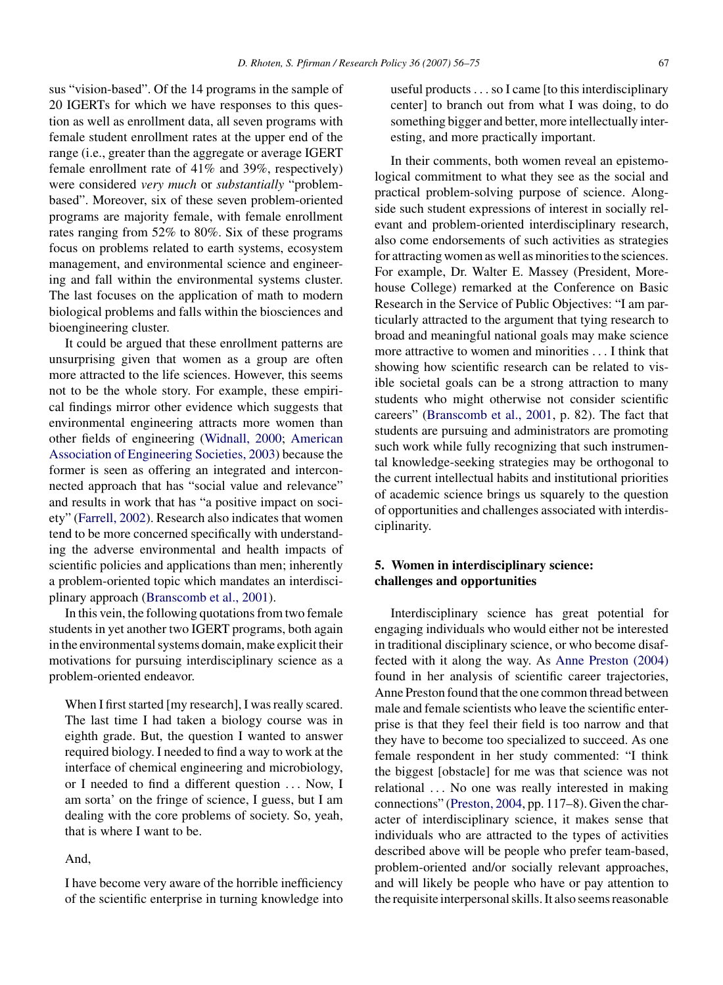sus "vision-based". Of the 14 programs in the sample of 20 IGERTs for which we have responses to this question as well as enrollment data, all seven programs with female student enrollment rates at the upper end of the range (i.e., greater than the aggregate or average IGERT female enrollment rate of 41% and 39%, respectively) were considered *very much* or *substantially* "problembased". Moreover, six of these seven problem-oriented programs are majority female, with female enrollment rates ranging from 52% to 80%. Six of these programs focus on problems related to earth systems, ecosystem management, and environmental science and engineering and fall within the environmental systems cluster. The last focuses on the application of math to modern biological problems and falls within the biosciences and bioengineering cluster.

It could be argued that these enrollment patterns are unsurprising given that women as a group are often more attracted to the life sciences. However, this seems not to be the whole story. For example, these empirical findings mirror other evidence which suggests that environmental engineering attracts more women than other fields of engineering ([Widnall, 2000;](#page-19-0) [American](#page-16-0) [Association of Engineering Societies, 2003\)](#page-16-0) because the former is seen as offering an integrated and interconnected approach that has "social value and relevance" and results in work that has "a positive impact on society" ([Farrell, 2002\).](#page-17-0) Research also indicates that women tend to be more concerned specifically with understanding the adverse environmental and health impacts of scientific policies and applications than men; inherently a problem-oriented topic which mandates an interdisciplinary approach [\(Branscomb et al., 2001\).](#page-16-0)

In this vein, the following quotations from two female students in yet another two IGERT programs, both again in the environmental systems domain, make explicit their motivations for pursuing interdisciplinary science as a problem-oriented endeavor.

When I first started [my research], I was really scared. The last time I had taken a biology course was in eighth grade. But, the question I wanted to answer required biology. I needed to find a way to work at the interface of chemical engineering and microbiology, or I needed to find a different question ... Now, I am sorta' on the fringe of science, I guess, but I am dealing with the core problems of society. So, yeah, that is where I want to be.

## And,

I have become very aware of the horrible inefficiency of the scientific enterprise in turning knowledge into useful products...so I came [to this interdisciplinary center] to branch out from what I was doing, to do something bigger and better, more intellectually interesting, and more practically important.

In their comments, both women reveal an epistemological commitment to what they see as the social and practical problem-solving purpose of science. Alongside such student expressions of interest in socially relevant and problem-oriented interdisciplinary research, also come endorsements of such activities as strategies for attracting women as well as minorities to the sciences. For example, Dr. Walter E. Massey (President, Morehouse College) remarked at the Conference on Basic Research in the Service of Public Objectives: "I am particularly attracted to the argument that tying research to broad and meaningful national goals may make science more attractive to women and minorities ... I think that showing how scientific research can be related to visible societal goals can be a strong attraction to many students who might otherwise not consider scientific careers" [\(Branscomb et al., 2001,](#page-16-0) p. 82). The fact that students are pursuing and administrators are promoting such work while fully recognizing that such instrumental knowledge-seeking strategies may be orthogonal to the current intellectual habits and institutional priorities of academic science brings us squarely to the question of opportunities and challenges associated with interdisciplinarity.

# **5. Women in interdisciplinary science: challenges and opportunities**

Interdisciplinary science has great potential for engaging individuals who would either not be interested in traditional disciplinary science, or who become disaffected with it along the way. As [Anne Preston \(2004\)](#page-18-0) found in her analysis of scientific career trajectories, Anne Preston found that the one common thread between male and female scientists who leave the scientific enterprise is that they feel their field is too narrow and that they have to become too specialized to succeed. As one female respondent in her study commented: "I think the biggest [obstacle] for me was that science was not relational ... No one was really interested in making connections" [\(Preston, 2004, p](#page-18-0)p. 117–8). Given the character of interdisciplinary science, it makes sense that individuals who are attracted to the types of activities described above will be people who prefer team-based, problem-oriented and/or socially relevant approaches, and will likely be people who have or pay attention to the requisite interpersonal skills. It also seems reasonable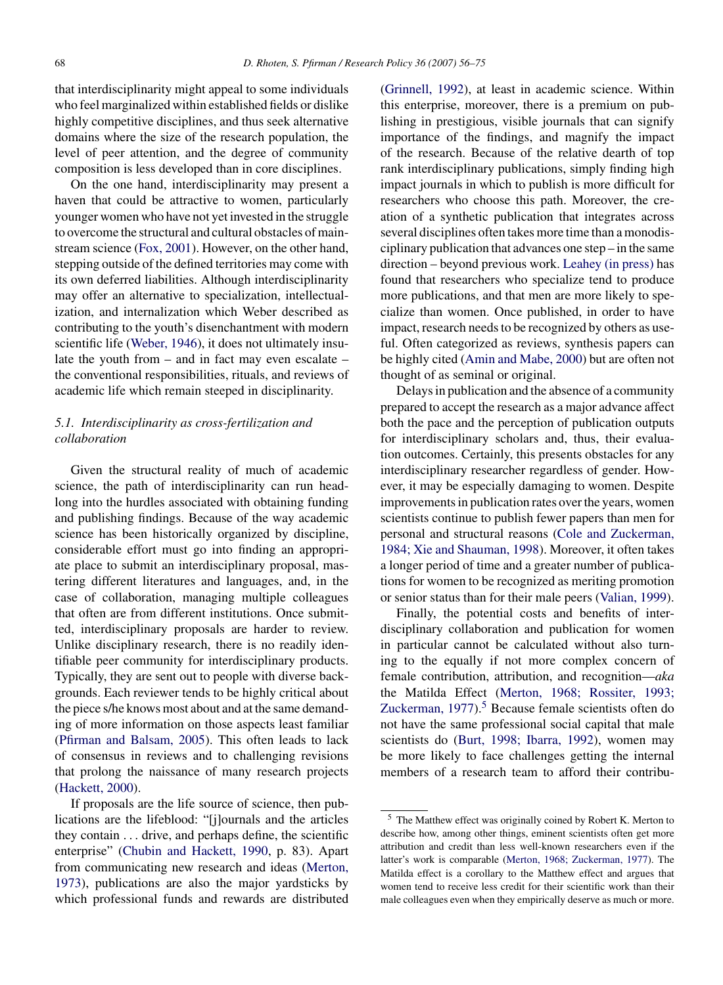that interdisciplinarity might appeal to some individuals who feel marginalized within established fields or dislike highly competitive disciplines, and thus seek alternative domains where the size of the research population, the level of peer attention, and the degree of community composition is less developed than in core disciplines.

On the one hand, interdisciplinarity may present a haven that could be attractive to women, particularly younger women who have not yet invested in the struggle to overcome the structural and cultural obstacles of mainstream science [\(Fox, 2001\).](#page-17-0) However, on the other hand, stepping outside of the defined territories may come with its own deferred liabilities. Although interdisciplinarity may offer an alternative to specialization, intellectualization, and internalization which Weber described as contributing to the youth's disenchantment with modern scientific life [\(Weber, 1946\),](#page-19-0) it does not ultimately insulate the youth from – and in fact may even escalate – the conventional responsibilities, rituals, and reviews of academic life which remain steeped in disciplinarity.

# *5.1. Interdisciplinarity as cross-fertilization and collaboration*

Given the structural reality of much of academic science, the path of interdisciplinarity can run headlong into the hurdles associated with obtaining funding and publishing findings. Because of the way academic science has been historically organized by discipline, considerable effort must go into finding an appropriate place to submit an interdisciplinary proposal, mastering different literatures and languages, and, in the case of collaboration, managing multiple colleagues that often are from different institutions. Once submitted, interdisciplinary proposals are harder to review. Unlike disciplinary research, there is no readily identifiable peer community for interdisciplinary products. Typically, they are sent out to people with diverse backgrounds. Each reviewer tends to be highly critical about the piece s/he knows most about and at the same demanding of more information on those aspects least familiar ([Pfirman and Balsam, 2005\).](#page-18-0) This often leads to lack of consensus in reviews and to challenging revisions that prolong the naissance of many research projects ([Hackett, 2000\).](#page-17-0)

If proposals are the life source of science, then publications are the lifeblood: "[j]ournals and the articles they contain ... drive, and perhaps define, the scientific enterprise" [\(Chubin and Hackett, 1990,](#page-16-0) p. 83). Apart from communicating new research and ideas ([Merton,](#page-18-0) [1973\),](#page-18-0) publications are also the major yardsticks by which professional funds and rewards are distributed ([Grinnell, 1992\),](#page-17-0) at least in academic science. Within this enterprise, moreover, there is a premium on publishing in prestigious, visible journals that can signify importance of the findings, and magnify the impact of the research. Because of the relative dearth of top rank interdisciplinary publications, simply finding high impact journals in which to publish is more difficult for researchers who choose this path. Moreover, the creation of a synthetic publication that integrates across several disciplines often takes more time than a monodisciplinary publication that advances one step – in the same direction – beyond previous work. [Leahey \(in press\)](#page-17-0) has found that researchers who specialize tend to produce more publications, and that men are more likely to specialize than women. Once published, in order to have impact, research needs to be recognized by others as useful. Often categorized as reviews, synthesis papers can be highly cited ([Amin and Mabe, 2000\)](#page-16-0) but are often not thought of as seminal or original.

Delays in publication and the absence of a community prepared to accept the research as a major advance affect both the pace and the perception of publication outputs for interdisciplinary scholars and, thus, their evaluation outcomes. Certainly, this presents obstacles for any interdisciplinary researcher regardless of gender. However, it may be especially damaging to women. Despite improvements in publication rates over the years, women scientists continue to publish fewer papers than men for personal and structural reasons [\(Cole and Zuckerman,](#page-16-0) [1984; Xie and Shauman, 1998\).](#page-16-0) Moreover, it often takes a longer period of time and a greater number of publications for women to be recognized as meriting promotion or senior status than for their male peers [\(Valian, 1999\).](#page-19-0)

Finally, the potential costs and benefits of interdisciplinary collaboration and publication for women in particular cannot be calculated without also turning to the equally if not more complex concern of female contribution, attribution, and recognition—*aka* the Matilda Effect [\(Merton, 1968; Rossiter, 1993;](#page-18-0) Zuckerman,  $1977$ ).<sup>5</sup> Because female scientists often do not have the same professional social capital that male scientists do ([Burt, 1998; Ibarra, 1992\),](#page-16-0) women may be more likely to face challenges getting the internal members of a research team to afford their contribu-

<sup>5</sup> The Matthew effect was originally coined by Robert K. Merton to describe how, among other things, eminent scientists often get more attribution and credit than less well-known researchers even if the latter's work is comparable [\(Merton, 1968; Zuckerman, 1977\).](#page-18-0) The Matilda effect is a corollary to the Matthew effect and argues that women tend to receive less credit for their scientific work than their male colleagues even when they empirically deserve as much or more.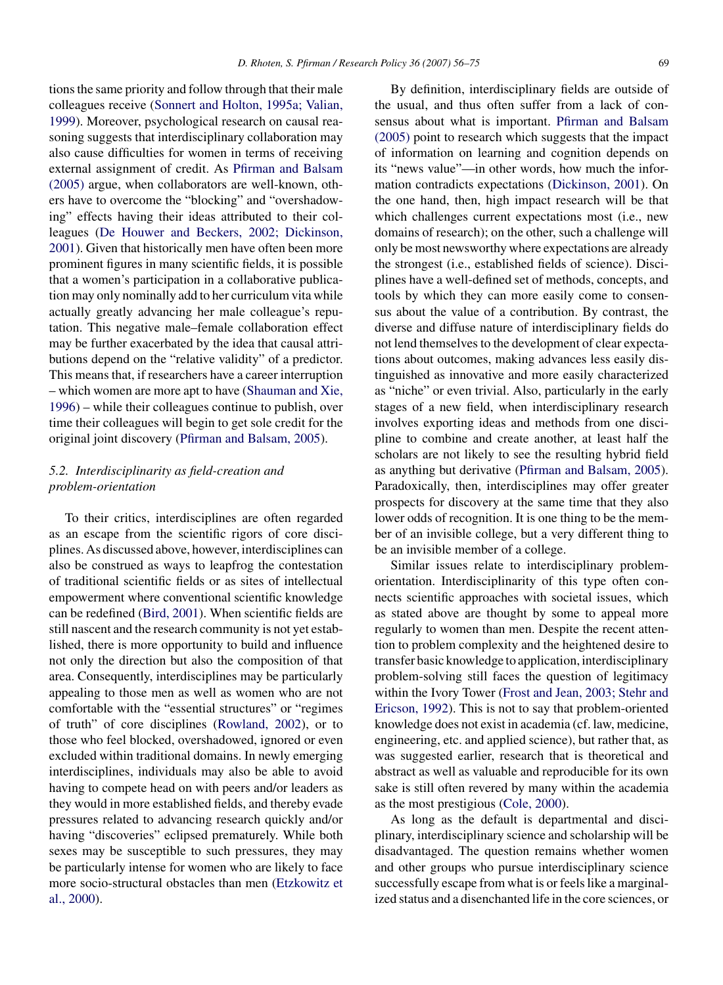tions the same priority and follow through that their male colleagues receive [\(Sonnert and Holton, 1995a; Valian,](#page-19-0) [1999\).](#page-19-0) Moreover, psychological research on causal reasoning suggests that interdisciplinary collaboration may also cause difficulties for women in terms of receiving external assignment of credit. As [Pfirman and Balsam](#page-18-0) [\(2005\)](#page-18-0) argue, when collaborators are well-known, others have to overcome the "blocking" and "overshadowing" effects having their ideas attributed to their colleagues [\(De Houwer and Beckers, 2002; Dickinson,](#page-16-0) [2001\).](#page-16-0) Given that historically men have often been more prominent figures in many scientific fields, it is possible that a women's participation in a collaborative publication may only nominally add to her curriculum vita while actually greatly advancing her male colleague's reputation. This negative male–female collaboration effect may be further exacerbated by the idea that causal attributions depend on the "relative validity" of a predictor. This means that, if researchers have a career interruption – which women are more apt to have ([Shauman and Xie,](#page-18-0) [1996\)](#page-18-0) – while their colleagues continue to publish, over time their colleagues will begin to get sole credit for the original joint discovery [\(Pfirman and Balsam, 2005\).](#page-18-0)

# *5.2. Interdisciplinarity as field-creation and problem-orientation*

To their critics, interdisciplines are often regarded as an escape from the scientific rigors of core disciplines. As discussed above, however, interdisciplines can also be construed as ways to leapfrog the contestation of traditional scientific fields or as sites of intellectual empowerment where conventional scientific knowledge can be redefined [\(Bird, 2001\).](#page-16-0) When scientific fields are still nascent and the research community is not yet established, there is more opportunity to build and influence not only the direction but also the composition of that area. Consequently, interdisciplines may be particularly appealing to those men as well as women who are not comfortable with the "essential structures" or "regimes of truth" of core disciplines ([Rowland, 2002\),](#page-18-0) or to those who feel blocked, overshadowed, ignored or even excluded within traditional domains. In newly emerging interdisciplines, individuals may also be able to avoid having to compete head on with peers and/or leaders as they would in more established fields, and thereby evade pressures related to advancing research quickly and/or having "discoveries" eclipsed prematurely. While both sexes may be susceptible to such pressures, they may be particularly intense for women who are likely to face more socio-structural obstacles than men [\(Etzkowitz et](#page-17-0) [al., 2000\).](#page-17-0)

By definition, interdisciplinary fields are outside of the usual, and thus often suffer from a lack of consensus about what is important. [Pfirman and Balsam](#page-18-0) [\(2005\)](#page-18-0) point to research which suggests that the impact of information on learning and cognition depends on its "news value"—in other words, how much the information contradicts expectations ([Dickinson, 2001\).](#page-17-0) On the one hand, then, high impact research will be that which challenges current expectations most (i.e., new domains of research); on the other, such a challenge will only be most newsworthy where expectations are already the strongest (i.e., established fields of science). Disciplines have a well-defined set of methods, concepts, and tools by which they can more easily come to consensus about the value of a contribution. By contrast, the diverse and diffuse nature of interdisciplinary fields do not lend themselves to the development of clear expectations about outcomes, making advances less easily distinguished as innovative and more easily characterized as "niche" or even trivial. Also, particularly in the early stages of a new field, when interdisciplinary research involves exporting ideas and methods from one discipline to combine and create another, at least half the scholars are not likely to see the resulting hybrid field as anything but derivative ([Pfirman and Balsam, 2005\).](#page-18-0) Paradoxically, then, interdisciplines may offer greater prospects for discovery at the same time that they also lower odds of recognition. It is one thing to be the member of an invisible college, but a very different thing to be an invisible member of a college.

Similar issues relate to interdisciplinary problemorientation. Interdisciplinarity of this type often connects scientific approaches with societal issues, which as stated above are thought by some to appeal more regularly to women than men. Despite the recent attention to problem complexity and the heightened desire to transfer basic knowledge to application, interdisciplinary problem-solving still faces the question of legitimacy within the Ivory Tower ([Frost and Jean, 2003; Stehr and](#page-17-0) [Ericson, 1992\).](#page-17-0) This is not to say that problem-oriented knowledge does not exist in academia (cf. law, medicine, engineering, etc. and applied science), but rather that, as was suggested earlier, research that is theoretical and abstract as well as valuable and reproducible for its own sake is still often revered by many within the academia as the most prestigious ([Cole, 2000\).](#page-16-0)

As long as the default is departmental and disciplinary, interdisciplinary science and scholarship will be disadvantaged. The question remains whether women and other groups who pursue interdisciplinary science successfully escape from what is or feels like a marginalized status and a disenchanted life in the core sciences, or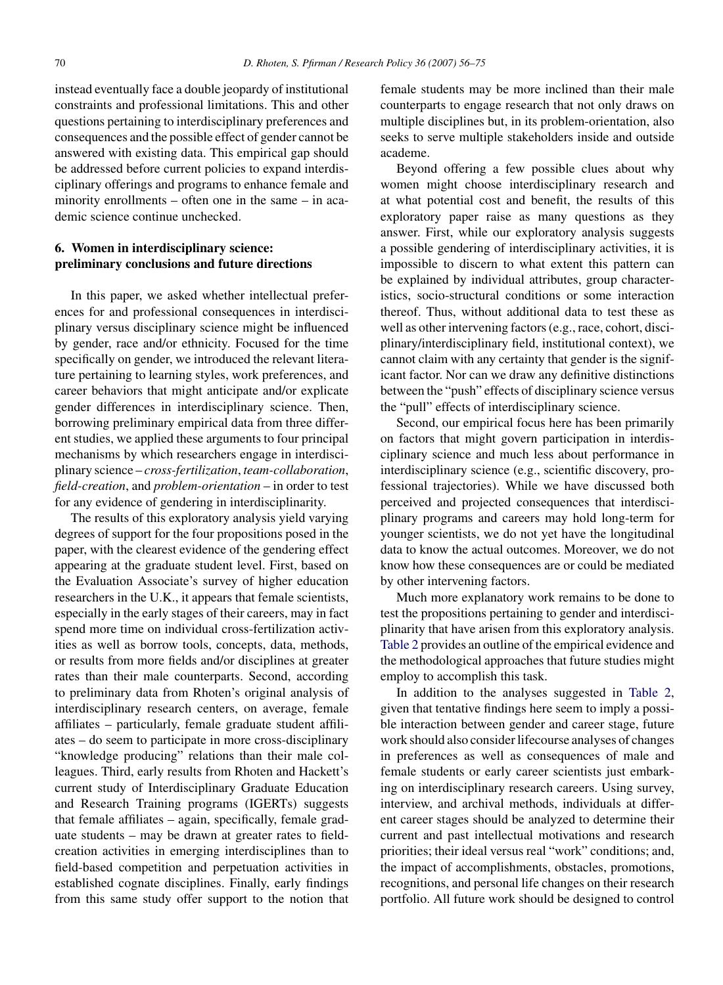instead eventually face a double jeopardy of institutional constraints and professional limitations. This and other questions pertaining to interdisciplinary preferences and consequences and the possible effect of gender cannot be answered with existing data. This empirical gap should be addressed before current policies to expand interdisciplinary offerings and programs to enhance female and minority enrollments – often one in the same – in academic science continue unchecked.

## **6. Women in interdisciplinary science: preliminary conclusions and future directions**

In this paper, we asked whether intellectual preferences for and professional consequences in interdisciplinary versus disciplinary science might be influenced by gender, race and/or ethnicity. Focused for the time specifically on gender, we introduced the relevant literature pertaining to learning styles, work preferences, and career behaviors that might anticipate and/or explicate gender differences in interdisciplinary science. Then, borrowing preliminary empirical data from three different studies, we applied these arguments to four principal mechanisms by which researchers engage in interdisciplinary science – *cross-fertilization*, *team-collaboration*, *field-creation*, and *problem-orientation* – in order to test for any evidence of gendering in interdisciplinarity.

The results of this exploratory analysis yield varying degrees of support for the four propositions posed in the paper, with the clearest evidence of the gendering effect appearing at the graduate student level. First, based on the Evaluation Associate's survey of higher education researchers in the U.K., it appears that female scientists, especially in the early stages of their careers, may in fact spend more time on individual cross-fertilization activities as well as borrow tools, concepts, data, methods, or results from more fields and/or disciplines at greater rates than their male counterparts. Second, according to preliminary data from Rhoten's original analysis of interdisciplinary research centers, on average, female affiliates – particularly, female graduate student affiliates – do seem to participate in more cross-disciplinary "knowledge producing" relations than their male colleagues. Third, early results from Rhoten and Hackett's current study of Interdisciplinary Graduate Education and Research Training programs (IGERTs) suggests that female affiliates – again, specifically, female graduate students – may be drawn at greater rates to fieldcreation activities in emerging interdisciplines than to field-based competition and perpetuation activities in established cognate disciplines. Finally, early findings from this same study offer support to the notion that female students may be more inclined than their male counterparts to engage research that not only draws on multiple disciplines but, in its problem-orientation, also seeks to serve multiple stakeholders inside and outside academe.

Beyond offering a few possible clues about why women might choose interdisciplinary research and at what potential cost and benefit, the results of this exploratory paper raise as many questions as they answer. First, while our exploratory analysis suggests a possible gendering of interdisciplinary activities, it is impossible to discern to what extent this pattern can be explained by individual attributes, group characteristics, socio-structural conditions or some interaction thereof. Thus, without additional data to test these as well as other intervening factors (e.g., race, cohort, disciplinary/interdisciplinary field, institutional context), we cannot claim with any certainty that gender is the significant factor. Nor can we draw any definitive distinctions between the "push" effects of disciplinary science versus the "pull" effects of interdisciplinary science.

Second, our empirical focus here has been primarily on factors that might govern participation in interdisciplinary science and much less about performance in interdisciplinary science (e.g., scientific discovery, professional trajectories). While we have discussed both perceived and projected consequences that interdisciplinary programs and careers may hold long-term for younger scientists, we do not yet have the longitudinal data to know the actual outcomes. Moreover, we do not know how these consequences are or could be mediated by other intervening factors.

Much more explanatory work remains to be done to test the propositions pertaining to gender and interdisciplinarity that have arisen from this exploratory analysis. [Table 2](#page-15-0) provides an outline of the empirical evidence and the methodological approaches that future studies might employ to accomplish this task.

In addition to the analyses suggested in [Table 2,](#page-15-0) given that tentative findings here seem to imply a possible interaction between gender and career stage, future work should also consider lifecourse analyses of changes in preferences as well as consequences of male and female students or early career scientists just embarking on interdisciplinary research careers. Using survey, interview, and archival methods, individuals at different career stages should be analyzed to determine their current and past intellectual motivations and research priorities; their ideal versus real "work" conditions; and, the impact of accomplishments, obstacles, promotions, recognitions, and personal life changes on their research portfolio. All future work should be designed to control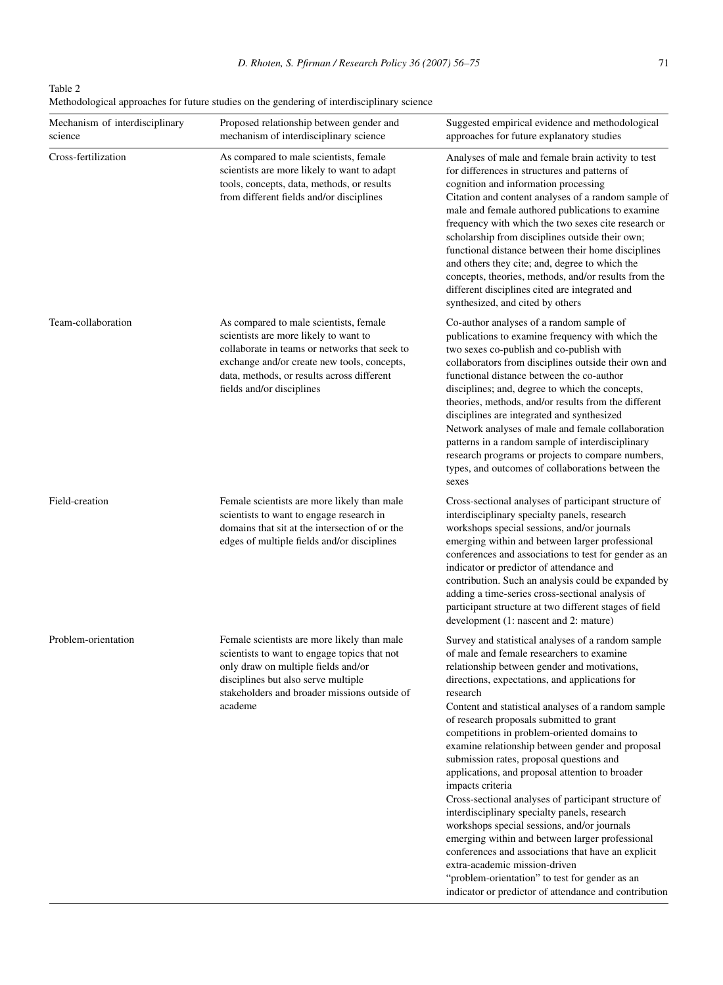<span id="page-15-0"></span>Table 2 Methodological approaches for future studies on the gendering of interdisciplinary science

| Mechanism of interdisciplinary<br>science | Proposed relationship between gender and<br>mechanism of interdisciplinary science                                                                                                                                                                         | Suggested empirical evidence and methodological<br>approaches for future explanatory studies                                                                                                                                                                                                                                                                                                                                                                                                                                                                                                                                                                                                                                                                                                                                                                                                                                                       |
|-------------------------------------------|------------------------------------------------------------------------------------------------------------------------------------------------------------------------------------------------------------------------------------------------------------|----------------------------------------------------------------------------------------------------------------------------------------------------------------------------------------------------------------------------------------------------------------------------------------------------------------------------------------------------------------------------------------------------------------------------------------------------------------------------------------------------------------------------------------------------------------------------------------------------------------------------------------------------------------------------------------------------------------------------------------------------------------------------------------------------------------------------------------------------------------------------------------------------------------------------------------------------|
| Cross-fertilization                       | As compared to male scientists, female<br>scientists are more likely to want to adapt<br>tools, concepts, data, methods, or results<br>from different fields and/or disciplines                                                                            | Analyses of male and female brain activity to test<br>for differences in structures and patterns of<br>cognition and information processing<br>Citation and content analyses of a random sample of<br>male and female authored publications to examine<br>frequency with which the two sexes cite research or<br>scholarship from disciplines outside their own;<br>functional distance between their home disciplines<br>and others they cite; and, degree to which the<br>concepts, theories, methods, and/or results from the<br>different disciplines cited are integrated and<br>synthesized, and cited by others                                                                                                                                                                                                                                                                                                                             |
| Team-collaboration                        | As compared to male scientists, female<br>scientists are more likely to want to<br>collaborate in teams or networks that seek to<br>exchange and/or create new tools, concepts,<br>data, methods, or results across different<br>fields and/or disciplines | Co-author analyses of a random sample of<br>publications to examine frequency with which the<br>two sexes co-publish and co-publish with<br>collaborators from disciplines outside their own and<br>functional distance between the co-author<br>disciplines; and, degree to which the concepts,<br>theories, methods, and/or results from the different<br>disciplines are integrated and synthesized<br>Network analyses of male and female collaboration<br>patterns in a random sample of interdisciplinary<br>research programs or projects to compare numbers,<br>types, and outcomes of collaborations between the<br>sexes                                                                                                                                                                                                                                                                                                                 |
| Field-creation                            | Female scientists are more likely than male<br>scientists to want to engage research in<br>domains that sit at the intersection of or the<br>edges of multiple fields and/or disciplines                                                                   | Cross-sectional analyses of participant structure of<br>interdisciplinary specialty panels, research<br>workshops special sessions, and/or journals<br>emerging within and between larger professional<br>conferences and associations to test for gender as an<br>indicator or predictor of attendance and<br>contribution. Such an analysis could be expanded by<br>adding a time-series cross-sectional analysis of<br>participant structure at two different stages of field<br>development (1: nascent and 2: mature)                                                                                                                                                                                                                                                                                                                                                                                                                         |
| Problem-orientation                       | Female scientists are more likely than male<br>scientists to want to engage topics that not<br>only draw on multiple fields and/or<br>disciplines but also serve multiple<br>stakeholders and broader missions outside of<br>academe                       | Survey and statistical analyses of a random sample<br>of male and female researchers to examine<br>relationship between gender and motivations,<br>directions, expectations, and applications for<br>research<br>Content and statistical analyses of a random sample<br>of research proposals submitted to grant<br>competitions in problem-oriented domains to<br>examine relationship between gender and proposal<br>submission rates, proposal questions and<br>applications, and proposal attention to broader<br>impacts criteria<br>Cross-sectional analyses of participant structure of<br>interdisciplinary specialty panels, research<br>workshops special sessions, and/or journals<br>emerging within and between larger professional<br>conferences and associations that have an explicit<br>extra-academic mission-driven<br>"problem-orientation" to test for gender as an<br>indicator or predictor of attendance and contribution |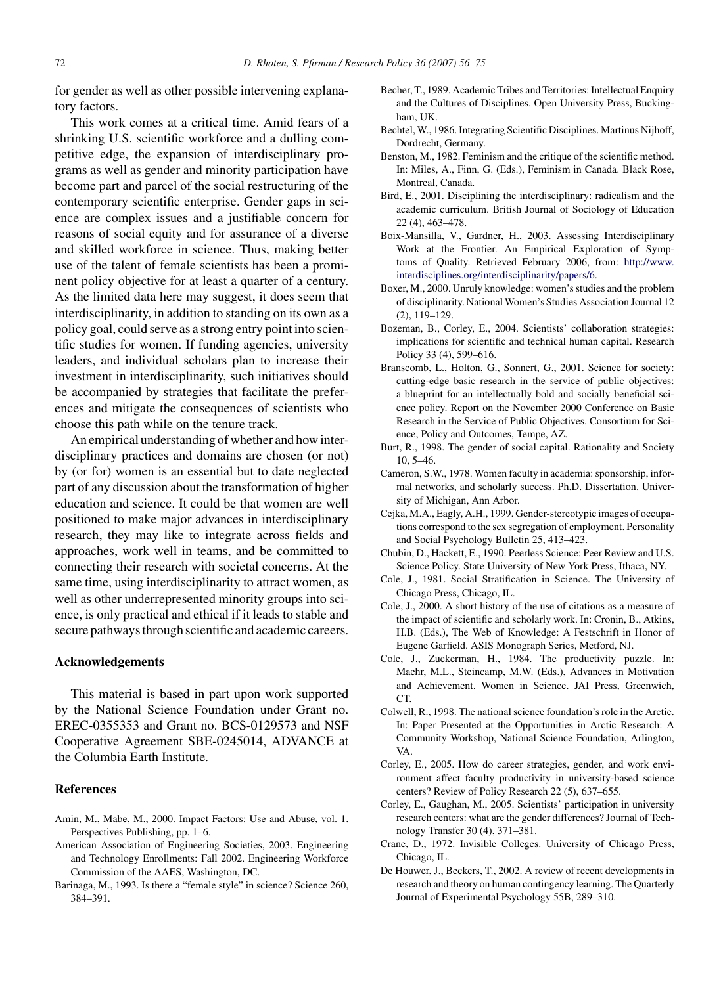<span id="page-16-0"></span>for gender as well as other possible intervening explanatory factors.

This work comes at a critical time. Amid fears of a shrinking U.S. scientific workforce and a dulling competitive edge, the expansion of interdisciplinary programs as well as gender and minority participation have become part and parcel of the social restructuring of the contemporary scientific enterprise. Gender gaps in science are complex issues and a justifiable concern for reasons of social equity and for assurance of a diverse and skilled workforce in science. Thus, making better use of the talent of female scientists has been a prominent policy objective for at least a quarter of a century. As the limited data here may suggest, it does seem that interdisciplinarity, in addition to standing on its own as a policy goal, could serve as a strong entry point into scientific studies for women. If funding agencies, university leaders, and individual scholars plan to increase their investment in interdisciplinarity, such initiatives should be accompanied by strategies that facilitate the preferences and mitigate the consequences of scientists who choose this path while on the tenure track.

An empirical understanding of whether and how interdisciplinary practices and domains are chosen (or not) by (or for) women is an essential but to date neglected part of any discussion about the transformation of higher education and science. It could be that women are well positioned to make major advances in interdisciplinary research, they may like to integrate across fields and approaches, work well in teams, and be committed to connecting their research with societal concerns. At the same time, using interdisciplinarity to attract women, as well as other underrepresented minority groups into science, is only practical and ethical if it leads to stable and secure pathways through scientific and academic careers.

## **Acknowledgements**

This material is based in part upon work supported by the National Science Foundation under Grant no. EREC-0355353 and Grant no. BCS-0129573 and NSF Cooperative Agreement SBE-0245014, ADVANCE at the Columbia Earth Institute.

#### **References**

- Amin, M., Mabe, M., 2000. Impact Factors: Use and Abuse, vol. 1. Perspectives Publishing, pp. 1–6.
- American Association of Engineering Societies, 2003. Engineering and Technology Enrollments: Fall 2002. Engineering Workforce Commission of the AAES, Washington, DC.
- Barinaga, M., 1993. Is there a "female style" in science? Science 260, 384–391.
- Becher, T., 1989. Academic Tribes and Territories: Intellectual Enquiry and the Cultures of Disciplines. Open University Press, Buckingham, UK.
- Bechtel, W., 1986. Integrating Scientific Disciplines. Martinus Nijhoff, Dordrecht, Germany.
- Benston, M., 1982. Feminism and the critique of the scientific method. In: Miles, A., Finn, G. (Eds.), Feminism in Canada. Black Rose, Montreal, Canada.
- Bird, E., 2001. Disciplining the interdisciplinary: radicalism and the academic curriculum. British Journal of Sociology of Education 22 (4), 463–478.
- Boix-Mansilla, V., Gardner, H., 2003. Assessing Interdisciplinary Work at the Frontier. An Empirical Exploration of Symptoms of Quality. Retrieved February 2006, from: [http://www.](http://www.interdisciplines.org/interdisciplinarity/papers/6) interdisciplines.org/interdisciplinarity/papers/6.
- Boxer, M., 2000. Unruly knowledge: women's studies and the problem of disciplinarity. National Women's Studies Association Journal 12 (2), 119–129.
- Bozeman, B., Corley, E., 2004. Scientists' collaboration strategies: implications for scientific and technical human capital. Research Policy 33 (4), 599–616.
- Branscomb, L., Holton, G., Sonnert, G., 2001. Science for society: cutting-edge basic research in the service of public objectives: a blueprint for an intellectually bold and socially beneficial science policy. Report on the November 2000 Conference on Basic Research in the Service of Public Objectives. Consortium for Science, Policy and Outcomes, Tempe, AZ.
- Burt, R., 1998. The gender of social capital. Rationality and Society 10, 5–46.
- Cameron, S.W., 1978. Women faculty in academia: sponsorship, informal networks, and scholarly success. Ph.D. Dissertation. University of Michigan, Ann Arbor.
- Cejka, M.A., Eagly, A.H., 1999. Gender-stereotypic images of occupations correspond to the sex segregation of employment. Personality and Social Psychology Bulletin 25, 413–423.
- Chubin, D., Hackett, E., 1990. Peerless Science: Peer Review and U.S. Science Policy. State University of New York Press, Ithaca, NY.
- Cole, J., 1981. Social Stratification in Science. The University of Chicago Press, Chicago, IL.
- Cole, J., 2000. A short history of the use of citations as a measure of the impact of scientific and scholarly work. In: Cronin, B., Atkins, H.B. (Eds.), The Web of Knowledge: A Festschrift in Honor of Eugene Garfield. ASIS Monograph Series, Metford, NJ.
- Cole, J., Zuckerman, H., 1984. The productivity puzzle. In: Maehr, M.L., Steincamp, M.W. (Eds.), Advances in Motivation and Achievement. Women in Science. JAI Press, Greenwich, CT.
- Colwell, R., 1998. The national science foundation's role in the Arctic. In: Paper Presented at the Opportunities in Arctic Research: A Community Workshop, National Science Foundation, Arlington, VA.
- Corley, E., 2005. How do career strategies, gender, and work environment affect faculty productivity in university-based science centers? Review of Policy Research 22 (5), 637–655.
- Corley, E., Gaughan, M., 2005. Scientists' participation in university research centers: what are the gender differences? Journal of Technology Transfer 30 (4), 371–381.
- Crane, D., 1972. Invisible Colleges. University of Chicago Press, Chicago, IL.
- De Houwer, J., Beckers, T., 2002. A review of recent developments in research and theory on human contingency learning. The Quarterly Journal of Experimental Psychology 55B, 289–310.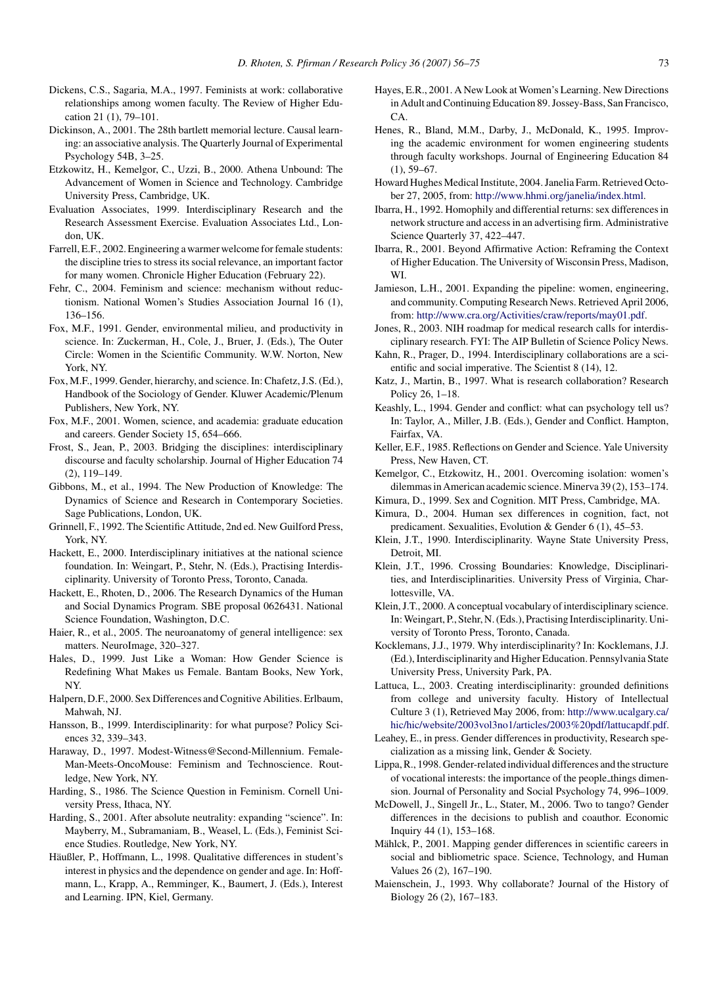- <span id="page-17-0"></span>Dickens, C.S., Sagaria, M.A., 1997. Feminists at work: collaborative relationships among women faculty. The Review of Higher Education 21 (1), 79–101.
- Dickinson, A., 2001. The 28th bartlett memorial lecture. Causal learning: an associative analysis. The Quarterly Journal of Experimental Psychology 54B, 3–25.
- Etzkowitz, H., Kemelgor, C., Uzzi, B., 2000. Athena Unbound: The Advancement of Women in Science and Technology. Cambridge University Press, Cambridge, UK.
- Evaluation Associates, 1999. Interdisciplinary Research and the Research Assessment Exercise. Evaluation Associates Ltd., London, UK.
- Farrell, E.F., 2002. Engineering a warmer welcome for female students: the discipline tries to stress its social relevance, an important factor for many women. Chronicle Higher Education (February 22).
- Fehr, C., 2004. Feminism and science: mechanism without reductionism. National Women's Studies Association Journal 16 (1), 136–156.
- Fox, M.F., 1991. Gender, environmental milieu, and productivity in science. In: Zuckerman, H., Cole, J., Bruer, J. (Eds.), The Outer Circle: Women in the Scientific Community. W.W. Norton, New York, NY.
- Fox, M.F., 1999. Gender, hierarchy, and science. In: Chafetz, J.S. (Ed.), Handbook of the Sociology of Gender. Kluwer Academic/Plenum Publishers, New York, NY.
- Fox, M.F., 2001. Women, science, and academia: graduate education and careers. Gender Society 15, 654–666.
- Frost, S., Jean, P., 2003. Bridging the disciplines: interdisciplinary discourse and faculty scholarship. Journal of Higher Education 74 (2), 119–149.
- Gibbons, M., et al., 1994. The New Production of Knowledge: The Dynamics of Science and Research in Contemporary Societies. Sage Publications, London, UK.
- Grinnell, F., 1992. The Scientific Attitude, 2nd ed. New Guilford Press, York, NY.
- Hackett, E., 2000. Interdisciplinary initiatives at the national science foundation. In: Weingart, P., Stehr, N. (Eds.), Practising Interdisciplinarity. University of Toronto Press, Toronto, Canada.
- Hackett, E., Rhoten, D., 2006. The Research Dynamics of the Human and Social Dynamics Program. SBE proposal 0626431. National Science Foundation, Washington, D.C.
- Haier, R., et al., 2005. The neuroanatomy of general intelligence: sex matters. NeuroImage, 320–327.
- Hales, D., 1999. Just Like a Woman: How Gender Science is Redefining What Makes us Female. Bantam Books, New York, NY.
- Halpern, D.F., 2000. Sex Differences and Cognitive Abilities. Erlbaum, Mahwah, NJ.
- Hansson, B., 1999. Interdisciplinarity: for what purpose? Policy Sciences 32, 339–343.
- Haraway, D., 1997. Modest-Witness@Second-Millennium. Female-Man-Meets-OncoMouse: Feminism and Technoscience. Routledge, New York, NY.
- Harding, S., 1986. The Science Question in Feminism. Cornell University Press, Ithaca, NY.
- Harding, S., 2001. After absolute neutrality: expanding "science". In: Mayberry, M., Subramaniam, B., Weasel, L. (Eds.), Feminist Science Studies. Routledge, New York, NY.
- Häußler, P., Hoffmann, L., 1998. Qualitative differences in student's interest in physics and the dependence on gender and age. In: Hoffmann, L., Krapp, A., Remminger, K., Baumert, J. (Eds.), Interest and Learning. IPN, Kiel, Germany.
- Hayes, E.R., 2001. A New Look at Women's Learning. New Directions in Adult and Continuing Education 89. Jossey-Bass, San Francisco, CA.
- Henes, R., Bland, M.M., Darby, J., McDonald, K., 1995. Improving the academic environment for women engineering students through faculty workshops. Journal of Engineering Education 84  $(1), 59-67.$
- Howard Hughes Medical Institute, 2004. Janelia Farm. Retrieved October 27, 2005, from: <http://www.hhmi.org/janelia/index.html>.
- Ibarra, H., 1992. Homophily and differential returns: sex differences in network structure and access in an advertising firm. Administrative Science Quarterly 37, 422–447.
- Ibarra, R., 2001. Beyond Affirmative Action: Reframing the Context of Higher Education. The University of Wisconsin Press, Madison, WI.
- Jamieson, L.H., 2001. Expanding the pipeline: women, engineering, and community. Computing Research News. Retrieved April 2006, from: <http://www.cra.org/Activities/craw/reports/may01.pdf>.
- Jones, R., 2003. NIH roadmap for medical research calls for interdisciplinary research. FYI: The AIP Bulletin of Science Policy News.
- Kahn, R., Prager, D., 1994. Interdisciplinary collaborations are a scientific and social imperative. The Scientist 8 (14), 12.
- Katz, J., Martin, B., 1997. What is research collaboration? Research Policy 26, 1–18.
- Keashly, L., 1994. Gender and conflict: what can psychology tell us? In: Taylor, A., Miller, J.B. (Eds.), Gender and Conflict. Hampton, Fairfax, VA.
- Keller, E.F., 1985. Reflections on Gender and Science. Yale University Press, New Haven, CT.
- Kemelgor, C., Etzkowitz, H., 2001. Overcoming isolation: women's dilemmas in American academic science. Minerva 39 (2), 153–174.
- Kimura, D., 1999. Sex and Cognition. MIT Press, Cambridge, MA.
- Kimura, D., 2004. Human sex differences in cognition, fact, not predicament. Sexualities, Evolution & Gender 6 (1), 45–53.
- Klein, J.T., 1990. Interdisciplinarity. Wayne State University Press, Detroit, MI.
- Klein, J.T., 1996. Crossing Boundaries: Knowledge, Disciplinarities, and Interdisciplinarities. University Press of Virginia, Charlottesville, VA.
- Klein, J.T., 2000. A conceptual vocabulary of interdisciplinary science. In: Weingart, P., Stehr, N. (Eds.), Practising Interdisciplinarity. University of Toronto Press, Toronto, Canada.
- Kocklemans, J.J., 1979. Why interdisciplinarity? In: Kocklemans, J.J. (Ed.), Interdisciplinarity and Higher Education. Pennsylvania State University Press, University Park, PA.
- Lattuca, L., 2003. Creating interdisciplinarity: grounded definitions from college and university faculty. History of Intellectual Culture 3 (1), Retrieved May 2006, from: [http://www.ucalgary.ca/](http://www.ucalgary.ca/hic/hic/website/2003vol3no1/articles/2003%20pdf/lattucapdf.pdf) hic/hic/website/2003vol3no1/articles/2003%20pdf/lattucapdf.pdf.
- Leahey, E., in press. Gender differences in productivity, Research specialization as a missing link, Gender & Society.
- Lippa, R., 1998. Gender-related individual differences and the structure of vocational interests: the importance of the people things dimension. Journal of Personality and Social Psychology 74, 996–1009.
- McDowell, J., Singell Jr., L., Stater, M., 2006. Two to tango? Gender differences in the decisions to publish and coauthor. Economic Inquiry 44 (1), 153–168.
- Mählck, P., 2001. Mapping gender differences in scientific careers in social and bibliometric space. Science, Technology, and Human Values 26 (2), 167–190.
- Maienschein, J., 1993. Why collaborate? Journal of the History of Biology 26 (2), 167–183.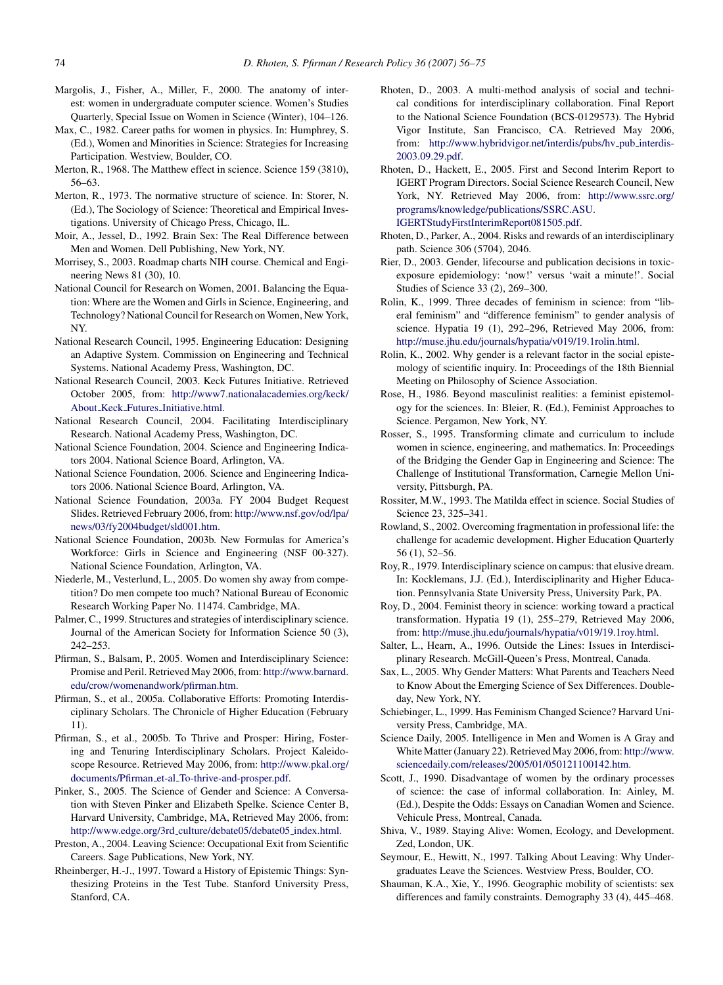- <span id="page-18-0"></span>Margolis, J., Fisher, A., Miller, F., 2000. The anatomy of interest: women in undergraduate computer science. Women's Studies Quarterly, Special Issue on Women in Science (Winter), 104–126.
- Max, C., 1982. Career paths for women in physics. In: Humphrey, S. (Ed.), Women and Minorities in Science: Strategies for Increasing Participation. Westview, Boulder, CO.
- Merton, R., 1968. The Matthew effect in science. Science 159 (3810), 56–63.
- Merton, R., 1973. The normative structure of science. In: Storer, N. (Ed.), The Sociology of Science: Theoretical and Empirical Investigations. University of Chicago Press, Chicago, IL.
- Moir, A., Jessel, D., 1992. Brain Sex: The Real Difference between Men and Women. Dell Publishing, New York, NY.
- Morrisey, S., 2003. Roadmap charts NIH course. Chemical and Engineering News 81 (30), 10.
- National Council for Research on Women, 2001. Balancing the Equation: Where are the Women and Girls in Science, Engineering, and Technology? National Council for Research on Women, New York, NY.
- National Research Council, 1995. Engineering Education: Designing an Adaptive System. Commission on Engineering and Technical Systems. National Academy Press, Washington, DC.
- National Research Council, 2003. Keck Futures Initiative. Retrieved October 2005, from: [http://www7.nationalacademies.org/keck/](http://www7.nationalacademies.org/keck/About_Keck_Futures_Initiative.html) About Keck Futures Initiative.html.
- National Research Council, 2004. Facilitating Interdisciplinary Research. National Academy Press, Washington, DC.
- National Science Foundation, 2004. Science and Engineering Indicators 2004. National Science Board, Arlington, VA.
- National Science Foundation, 2006. Science and Engineering Indicators 2006. National Science Board, Arlington, VA.
- National Science Foundation, 2003a. FY 2004 Budget Request Slides. Retrieved February 2006, from: [http://www.nsf.gov/od/lpa/](http://www.nsf.gov/od/lpa/news/03/fy2004budget/sld001.htm) news/03/fy2004budget/sld001.htm.
- National Science Foundation, 2003b. New Formulas for America's Workforce: Girls in Science and Engineering (NSF 00-327). National Science Foundation, Arlington, VA.
- Niederle, M., Vesterlund, L., 2005. Do women shy away from competition? Do men compete too much? National Bureau of Economic Research Working Paper No. 11474. Cambridge, MA.
- Palmer, C., 1999. Structures and strategies of interdisciplinary science. Journal of the American Society for Information Science 50 (3), 242–253.
- Pfirman, S., Balsam, P., 2005. Women and Interdisciplinary Science: Promise and Peril. Retrieved May 2006, from: http://www.barnard. edu/crow/womenandwork/pfirman.htm.
- Pfirman, S., et al., 2005a. Collaborative Efforts: Promoting Interdisciplinary Scholars. The Chronicle of Higher Education (February 11).
- Pfirman, S., et al., 2005b. To Thrive and Prosper: Hiring, Fostering and Tenuring Interdisciplinary Scholars. Project Kaleidoscope Resource. Retrieved May 2006, from: http://www.pkal.org/ documents/Pfirman et-al To-thrive-and-prosper.pdf.
- Pinker, S., 2005. The Science of Gender and Science: A Conversation with Steven Pinker and Elizabeth Spelke. Science Center B, Harvard University, Cambridge, MA, Retrieved May 2006, from: http://www.edge.org/3rd\_[culture/debate05/debate05](http://www.edge.org/3rd_culture/debate05/debate05_index.html)\_index.html.
- Preston, A., 2004. Leaving Science: Occupational Exit from Scientific Careers. Sage Publications, New York, NY.
- Rheinberger, H.-J., 1997. Toward a History of Epistemic Things: Synthesizing Proteins in the Test Tube. Stanford University Press, Stanford, CA.
- Rhoten, D., 2003. A multi-method analysis of social and technical conditions for interdisciplinary collaboration. Final Report to the National Science Foundation (BCS-0129573). The Hybrid Vigor Institute, San Francisco, CA. Retrieved May 2006, from: [http://www.hybridvigor.net/interdis/pubs/hv](http://www.hybridvigor.net/interdis/pubs/hv_pub_interdis-2003.09.29.pdf)\_pub\_interdis-2003.09.29.pdf.
- Rhoten, D., Hackett, E., 2005. First and Second Interim Report to IGERT Program Directors. Social Science Research Council, New York, NY. Retrieved May 2006, from: [http://www.ssrc.org/](http://www.ssrc.org/programs/knowledge/publications/SSRC.ASU.IGERTStudyFirstInterimReport081505.pdf) programs/knowledge/publications/SSRC.ASU. IGERTStudyFirstInterimReport081505.pdf.
- Rhoten, D., Parker, A., 2004. Risks and rewards of an interdisciplinary path. Science 306 (5704), 2046.
- Rier, D., 2003. Gender, lifecourse and publication decisions in toxicexposure epidemiology: 'now!' versus 'wait a minute!'. Social Studies of Science 33 (2), 269–300.
- Rolin, K., 1999. Three decades of feminism in science: from "liberal feminism" and "difference feminism" to gender analysis of science. Hypatia 19 (1), 292–296, Retrieved May 2006, from: <http://muse.jhu.edu/journals/hypatia/v019/19.1rolin.html>.
- Rolin, K., 2002. Why gender is a relevant factor in the social epistemology of scientific inquiry. In: Proceedings of the 18th Biennial Meeting on Philosophy of Science Association.
- Rose, H., 1986. Beyond masculinist realities: a feminist epistemology for the sciences. In: Bleier, R. (Ed.), Feminist Approaches to Science. Pergamon, New York, NY.
- Rosser, S., 1995. Transforming climate and curriculum to include women in science, engineering, and mathematics. In: Proceedings of the Bridging the Gender Gap in Engineering and Science: The Challenge of Institutional Transformation, Carnegie Mellon University, Pittsburgh, PA.
- Rossiter, M.W., 1993. The Matilda effect in science. Social Studies of Science 23, 325–341.
- Rowland, S., 2002. Overcoming fragmentation in professional life: the challenge for academic development. Higher Education Quarterly 56 (1), 52–56.
- Roy, R., 1979. Interdisciplinary science on campus: that elusive dream. In: Kocklemans, J.J. (Ed.), Interdisciplinarity and Higher Education. Pennsylvania State University Press, University Park, PA.
- Roy, D., 2004. Feminist theory in science: working toward a practical transformation. Hypatia 19 (1), 255–279, Retrieved May 2006, from: <http://muse.jhu.edu/journals/hypatia/v019/19.1roy.html>.
- Salter, L., Hearn, A., 1996. Outside the Lines: Issues in Interdisciplinary Research. McGill-Queen's Press, Montreal, Canada.
- [Sax, L., 2005. Why Gender Mat](http://www.barnard.edu/crow/womenandwork/pfirman.htm)ters: What Parents and Teachers Need to Know About the Emerging Science of Sex Differences. Doubleday, New York, NY.
- Schiebinger, L., 1999. Has Feminism Changed Science? Harvard University Press, Cambridge, MA.
- Science Daily, 2005. Intelligence in Men and Women is A Gray and White Matter (January 22). Retrieved May 2006, from: [http://www.](http://www.sciencedaily.com/releases/2005/01/050121100142.htm) [sciencedaily.com/releases/2005/01/050](http://www.pkal.org/documents/Pfirman_et-al_To-thrive-and-prosper.pdf)121100142.htm.
- Scott, J., 1990. Disadvantage of women by the ordinary processes of science: the case of informal collaboration. In: Ainley, M. (Ed.), Despite the Odds: Essays on Canadian Women and Science. Vehicule Press, Montreal, Canada.
- Shiva, V., 1989. Staying Alive: Women, Ecology, and Development. Zed, London, UK.
- Seymour, E., Hewitt, N., 1997. Talking About Leaving: Why Undergraduates Leave the Sciences. Westview Press, Boulder, CO.
- Shauman, K.A., Xie, Y., 1996. Geographic mobility of scientists: sex differences and family constraints. Demography 33 (4), 445–468.